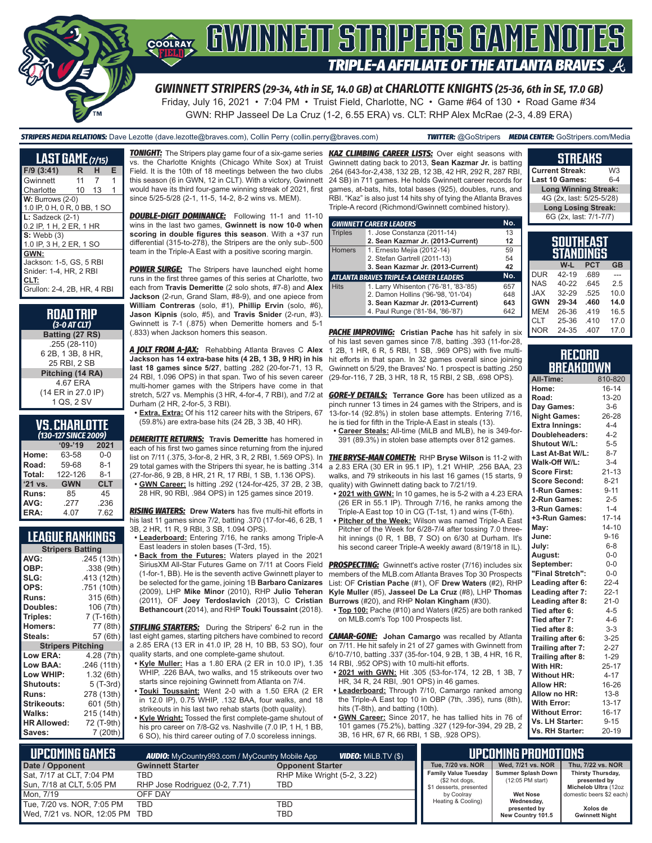

Friday, July 16, 2021 • 7:04 PM • Truist Field, Charlotte, NC • Game #64 of 130 • Road Game #34 GWN: RHP Jasseel De La Cruz (1-2, 6.55 ERA) vs. CLT: RHP Alex McRae (2-3, 4.89 ERA)

*STRIPERS MEDIA RELATIONS:* Dave Lezotte (dave.lezotte@braves.com), Collin Perry (collin.perry@braves.com) *TWITTER:* @GoStripers *MEDIA CENTER:* GoStripers.com/Media

| <b>LAST GAME</b> (7/15)      |    |       |   |  |  |  |
|------------------------------|----|-------|---|--|--|--|
|                              | R. | н     | Е |  |  |  |
| $F/9$ (3:41)                 |    |       |   |  |  |  |
| Gwinnett                     | 11 | 7     | 1 |  |  |  |
| Charlotte                    |    | 10 13 | 1 |  |  |  |
| $W:$ Burrows (2-0)           |    |       |   |  |  |  |
| 1.0 IP, 0 H, 0 R, 0 BB, 1 SO |    |       |   |  |  |  |
| $L:$ Sadzeck $(2-1)$         |    |       |   |  |  |  |
| 0.2 IP, 1 H, 2 ER, 1 HR      |    |       |   |  |  |  |
| $S:$ Webb $(3)$              |    |       |   |  |  |  |
| 1.0 IP, 3 H, 2 ER, 1 SO      |    |       |   |  |  |  |
| GWN:                         |    |       |   |  |  |  |
| Jackson: 1-5, GS, 5 RBI      |    |       |   |  |  |  |
| Snider: 1-4, HR, 2 RBI       |    |       |   |  |  |  |
| CLT:                         |    |       |   |  |  |  |
| Grullon: 2-4, 2B, HR, 4 RBI  |    |       |   |  |  |  |

#### **VS. CHARLOTTE**  *(130-127 SINCE 2009)*

| $09 - 19$  | 2021       |
|------------|------------|
| 63-58      | $0 - 0$    |
| 59-68      | $8 - 1$    |
| 122-126    | $8 - 1$    |
| <b>GWN</b> | <b>CLT</b> |
| 85         | 45         |
| .277       | .236       |
| 4.07       | 7.62       |
|            |            |

#### **LEAGUE RANKINGS**

| <b>Stripers Batting</b>  |             |
|--------------------------|-------------|
| AVG:                     | .245 (13th) |
| OBP:                     | .338 (9th)  |
| SLG:                     | .413 (12th) |
| OPS:                     | .751 (10th) |
| <b>Runs:</b>             | 315 (6th)   |
| Doubles:                 | 106 (7th)   |
| Triples:                 | 7 (T-16th)  |
| <b>Homers:</b>           | 77 (8th)    |
| Steals:                  | 57 (6th)    |
| <b>Stripers Pitching</b> |             |
| <b>Low ERA:</b>          | 4.28 (7th)  |
| Low BAA:                 | .246 (11th) |
| Low WHIP:                | 1.32 (6th)  |
| Shutouts:                | 5 (T-3rd)   |
| <b>Runs:</b>             | 278 (13th)  |
| Strikeouts:              | 601 (5th)   |
| Walks:                   | 215 (14th)  |
| <b>HR Allowed:</b>       | 72 (T-9th)  |
| Saves:                   | 7 (20th)    |

vs. the Charlotte Knights (Chicago White Sox) at Truist Field. It is the 10th of 18 meetings between the two clubs this season (6 in GWN, 12 in CLT). With a victory, Gwinnett would have its third four-game winning streak of 2021, first since 5/25-5/28 (2-1, 11-5, 14-2, 8-2 wins vs. MEM).

**DOUBLE-DIGIT DOMINANCE:** Following 11-1 and 11-10 wins in the last two games, **Gwinnett is now 10-0 when scoring in double figures this season**. With a +37 run differential (315-to-278), the Stripers are the only sub-.500 team in the Triple-A East with a positive scoring margin.

**POWER SURGE:** The Stripers have launched eight home runs in the first three games of this series at Charlotte, two each from **Travis Demeritte** (2 solo shots, #7-8) and **Alex Jackson** (2-run, Grand Slam, #8-9), and one apiece from **William Contreras** (solo, #1), **Phillip Ervin** (solo, #6), **Jason Kipnis** (solo, #5), and **Travis Snider** (2-run, #3). Gwinnett is 7-1 (.875) when Demeritte homers and 5-1 (.833) when Jackson homers this season.

*A JOLT FROM A-JAX:* Rehabbing Atlanta Braves C **Alex Jackson has 14 extra-base hits (4 2B, 1 3B, 9 HR) in his last 18 games since 5/27**, batting .282 (20-for-71, 13 R, 24 RBI, 1.096 OPS) in that span. Two of his seven career multi-homer games with the Stripers have come in that stretch, 5/27 vs. Memphis (3 HR, 4-for-4, 7 RBI), and 7/2 at *GORE-Y DETAILS:* **Terrance Gore** has been utilized as a Durham (2 HR, 2-for-5, 3 RBI).

**• Extra, Extra:** Of his 112 career hits with the Stripers, 67 (59.8%) are extra-base hits (24 2B, 3 3B, 40 HR).

*DEMERITTE RETURNS:* **Travis Demeritte** has homered in each of his first two games since returning from the injured list on 7/11 (.375, 3-for-8, 2 HR, 3 R, 2 RBI, 1.569 OPS). In 29 total games with the Stripers thi syear, he is batting .314 (27-for-86, 9 2B, 8 HR, 21 R, 17 RBI, 1 SB, 1.136 OPS).

**• GWN Career:** Is hitting .292 (124-for-425, 37 2B, 2 3B, 28 HR, 90 RBI, .984 OPS) in 125 games since 2019.

*RISING WATERS:* **Drew Waters** has five multi-hit efforts in his last 11 games since 7/2, batting .370 (17-for-46, 6 2B, 1 3B, 2 HR, 11 R, 9 RBI, 3 SB, 1.094 OPS).

- **• Leaderboard:** Entering 7/16, he ranks among Triple-A East leaders in stolen bases (T-3rd, 15).
- **• Back from the Futures:** Waters played in the 2021 (1-for-1, BB). He is the seventh active Gwinnett player to be selected for the game, joining 1B **Barbaro Canizares** (2009), LHP **Mike Minor** (2010), RHP **Julio Teheran** (2011), OF **Joey Terdoslavich** (2013), C **Cristian Bethancourt** (2014), and RHP **Touki Toussaint** (2018).

**STIFLING STARTERS:** During the Stripers' 6-2 run in the last eight games, starting pitchers have combined to record a 2.85 ERA (13 ER in 41.0 IP, 28 H, 10 BB, 53 SO), four quality starts, and one complete-game shutout.

- **• Kyle Muller:** Has a 1.80 ERA (2 ER in 10.0 IP), 1.35 WHIP, .226 BAA, two walks, and 15 strikeouts over two starts since rejoining Gwinnett from Atlanta on 7/4.
- **• Touki Toussaint:** Went 2-0 with a 1.50 ERA (2 ER in 12.0 IP), 0.75 WHIP, .132 BAA, four walks, and 18 strikeouts in his last two rehab starts (both quality).
- **• Kyle Wright:** Tossed the first complete-game shutout of his pro career on 7/8-G2 vs. Nashville (7.0 IP, 1 H, 1 BB, 6 SO), his third career outing of 7.0 scoreless innings.

*TONIGHT:* The Stripers play game four of a six-game series *KAZ CLIMBING CAREER LISTS:* Over eight seasons with Gwinnett dating back to 2013, **Sean Kazmar Jr.** is batting .264 (643-for-2,438, 132 2B, 12 3B, 42 HR, 292 R, 287 RBI, 24 SB) in 711 games. He holds Gwinnett career records for games, at-bats, hits, total bases (925), doubles, runs, and RBI. "Kaz" is also just 14 hits shy of tying the Atlanta Braves Triple-A record (Richmond/Gwinnett combined history).

|                                        | <b>GWINNETT CAREER LEADERS</b>        | No. |  |  |  |
|----------------------------------------|---------------------------------------|-----|--|--|--|
| <b>Triples</b>                         | 1. Jose Constanza (2011-14)           | 13  |  |  |  |
|                                        | 2. Sean Kazmar Jr. (2013-Current)     | 12  |  |  |  |
| <b>Homers</b>                          | 1. Ernesto Mejia (2012-14)            | 59  |  |  |  |
|                                        | 2. Stefan Gartrell (2011-13)          | 54  |  |  |  |
|                                        | 3. Sean Kazmar Jr. (2013-Current)     | 42  |  |  |  |
| ATLANTA BRAVES TRIPLE-A CAREER LEADERS |                                       |     |  |  |  |
| <b>Hits</b>                            | 1. Larry Whisenton ('76-'81, '83-'85) | 657 |  |  |  |
|                                        | 2. Damon Hollins ('96-'98, '01-'04)   | 648 |  |  |  |
|                                        | 3. Sean Kazmar Jr. (2013-Current)     | 643 |  |  |  |
|                                        | 4. Paul Runge ('81-'84, '86-'87)      | 642 |  |  |  |

NOR 24-35 .407 17.0 *PACHE IMPROVING:* **Cristian Pache** has hit safely in six of his last seven games since 7/8, batting .393 (11-for-28, 1 2B, 1 HR, 6 R, 5 RBI, 1 SB, .969 OPS) with five multihit efforts in that span. In 32 games overall since joining Gwinnett on 5/29, the Braves' No. 1 prospect is batting .250 (29-for-116, 7 2B, 3 HR, 18 R, 15 RBI, 2 SB, .698 OPS).

pinch runner 13 times in 24 games with the Stripers, and is 13-for-14 (92.8%) in stolen base attempts. Entering 7/16, he is tied for fifth in the Triple-A East in steals (13).

**• Career Steals:** All-time (MiLB and MLB), he is 349-for-391 (89.3%) in stolen base attempts over 812 games.

*THE BRYSE-MAN COMETH:* RHP **Bryse Wilson** is 11-2 with a 2.83 ERA (30 ER in 95.1 IP), 1.21 WHIP, .256 BAA, 23 walks, and 79 strikeouts in his last 16 games (15 starts, 9) quality) with Gwinnett dating back to 7/21/19.

- **• 2021 with GWN:** In 10 games, he is 5-2 with a 4.23 ERA (26 ER in 55.1 IP). Through 7/16, he ranks among the Triple-A East top 10 in CG (T-1st, 1) and wins (T-6th).
- **• Pitcher of the Week:** Wilson was named Triple-A East Pitcher of the Week for 6/28-7/4 after tossing 7.0 threehit innings (0 R, 1 BB, 7 SO) on 6/30 at Durham. It's his second career Triple-A weekly award (8/19/18 in IL).

SiriusXM All-Star Futures Game on 7/11 at Coors Field PROSPECTING: Gwinnett's active roster (7/16) includes six members of the MLB.com Atlanta Braves Top 30 Prospects List: OF **Cristian Pache** (#1), OF **Drew Waters** (#2), RHP **Kyle Muller** (#5), **Jasseel De La Cruz** (#8), LHP **Thomas Burrows** (#20), and RHP **Nolan Kingham** (#30).

**• Top 100:** Pache (#10) and Waters (#25) are both ranked on MLB.com's Top 100 Prospects list.

*CAMAR-GONE:* **Johan Camargo** was recalled by Atlanta on 7/11. He hit safely in 21 of 27 games with Gwinnett from 6/10-7/10, batting .337 (35-for-104, 9 2B, 1 3B, 4 HR, 16 R, 14 RBI, .952 OPS) with 10 multi-hit efforts.

- **• 2021 with GWN:** Hit .305 (53-for-174, 12 2B, 1 3B, 7 HR, 34 R, 24 RBI, .901 OPS) in 46 games.
- **• Leaderboard:** Through 7/10, Camargo ranked among the Triple-A East top 10 in OBP (7th, .395), runs (8th), hits (T-8th), and batting (10th).
- **• GWN Career:** Since 2017, he has tallied hits in 76 of 101 games (75.2%), batting .327 (129-for-394, 29 2B, 2 3B, 16 HR, 67 R, 66 RBI, 1 SB, .928 OPS).

| <b>STREAKS</b>  |         |
|-----------------|---------|
| Current Streak: | W3      |
| Last 10 Games:  | $6 - 4$ |

**Long Winning Streak:** 4G (2x, last: 5/25-5/28) **Long Losing Streak:** 6G (2x, last: 7/1-7/7)

| SOUTHEAST<br><b>STANDINGS</b> |              |            |           |  |  |  |  |  |
|-------------------------------|--------------|------------|-----------|--|--|--|--|--|
|                               | W-L          | <b>PCT</b> | <b>GB</b> |  |  |  |  |  |
| <b>DUR</b>                    | 42-19        | .689       |           |  |  |  |  |  |
| <b>NAS</b>                    | 40-22        | .645       | 2.5       |  |  |  |  |  |
| <b>XAL</b>                    | 32-29        | .525       | 10.0      |  |  |  |  |  |
| <b>GWN</b>                    | 29-34        | .460       | 14.0      |  |  |  |  |  |
| <b>MEM</b>                    | 26-36        | .419       | 16.5      |  |  |  |  |  |
| <b>CLT</b>                    | 25-36        | .410       | 17.0      |  |  |  |  |  |
| ם∩ו                           | <b>OA OF</b> | 107        | 170       |  |  |  |  |  |

#### **RECORD BREAKDOWN**

| All-Time:             | 810-820   |
|-----------------------|-----------|
| Home:                 | $16 - 14$ |
| Road:                 | 13-20     |
| Day Games:            | $3-6$     |
| <b>Night Games:</b>   | 26-28     |
| <b>Extra Innings:</b> | $4 - 4$   |
| Doubleheaders:        | $4 - 2$   |
| Shutout W/L:          | $5 - 5$   |
| Last At-Bat W/L:      | $8 - 7$   |
| Walk-Off W/L:         | $3 - 4$   |
| <b>Score First:</b>   | $21 - 13$ |
| <b>Score Second:</b>  | $8 - 21$  |
| 1-Run Games:          | $9 - 11$  |
| 2-Run Games:          | $2 - 5$   |
| 3-Run Games:          | $1 - 4$   |
| +3-Run Games:         | $17 - 14$ |
| May:                  | $14 - 10$ |
| June:                 | $9 - 16$  |
| July:                 | $6 - 8$   |
| August:               | $0-0$     |
| September:            | $0-0$     |
| "Final Stretch":      | $0-0$     |
| Leading after 6:      | $22 - 4$  |
| Leading after 7:      | $22 - 1$  |
| Leading after 8:      | $21-0$    |
| Tied after 6:         | $4 - 5$   |
| Tied after 7:         | $4 - 6$   |
| Tied after 8:         | $3 - 3$   |
| Trailing after 6:     | $3 - 25$  |
| Trailing after 7:     | $2 - 27$  |
| Trailing after 8:     | $1 - 29$  |
| With HR:              | $25 - 17$ |
| <b>Without HR:</b>    | $4 - 17$  |
| <b>Allow HR:</b>      | 16-26     |
| Allow no HR:          | $13 - 8$  |
| <b>With Error:</b>    | $13 - 17$ |
| <b>Without Error:</b> | $16 - 17$ |
| Vs. LH Starter:       | $9 - 15$  |
| Vs. RH Starter:       | $20 - 19$ |

| LUPCOMING GAMES I               | <b>AUDIO:</b> MyCountry993.com / MyCountry Mobile App | <b>VIDEO:</b> Milb.TV (\$)  |                                        | <b>UPCOMING PROMOTIONS .</b>             |                                   |
|---------------------------------|-------------------------------------------------------|-----------------------------|----------------------------------------|------------------------------------------|-----------------------------------|
| Date / Opponent                 | <b>Gwinnett Starter</b>                               | <b>Opponent Starter</b>     | Tue, 7/20 vs. NOR                      | Wed. 7/21 vs. NOR                        | Thu, 7/22 vs. NOR                 |
| Sat, 7/17 at CLT, 7:04 PM       | TBD                                                   | RHP Mike Wright (5-2, 3.22) | Family Value Tuesday<br>(\$2 hot dogs, | Summer Splash Down<br>$(12:05$ PM start) | Thirsty Thursday,<br>presented by |
| Sun, 7/18 at CLT, 5:05 PM       | RHP Jose Rodriguez (0-2, 7.71)                        | TBD                         | \$1 desserts, presented                |                                          | Michelob Ultra (12oz              |
| Mon. 7/19                       | OFF DAY                                               |                             | by Coolrav                             | <b>Wet Nose</b>                          | domestic beers \$2 each)          |
| Tue, 7/20 vs. NOR, 7:05 PM      | TBD                                                   | TBD                         | Heating & Cooling)                     | Wednesday,<br>presented by               | Xolos de                          |
| Wed, 7/21 vs. NOR, 12:05 PM TBD |                                                       | TBD                         |                                        | New Country 101.5                        | <b>Gwinnett Night</b>             |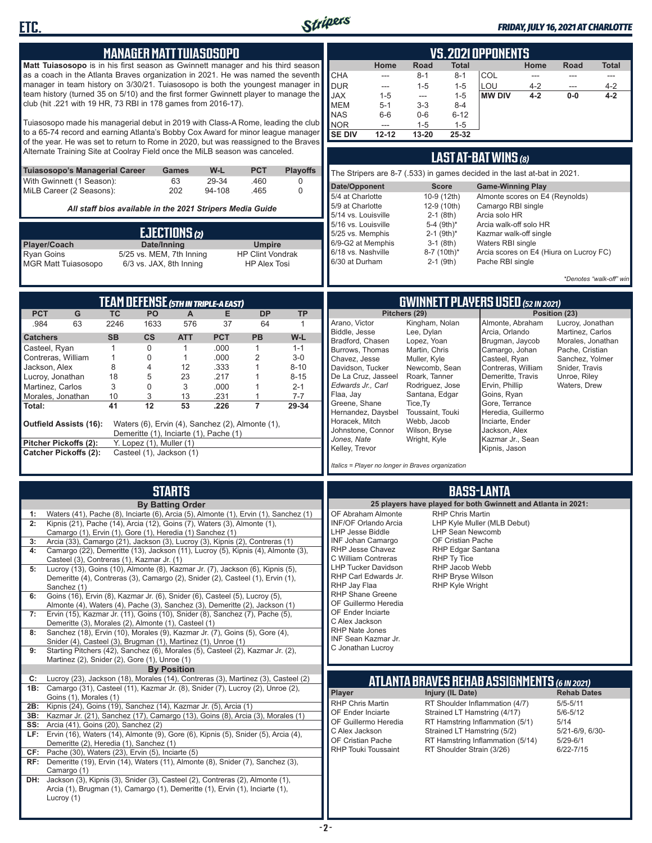

**ETC.**

Lucroy (1)

**MANAGER MATT TUIASOSOPO**

#### *FRIDAY, JULY 16, 2021 AT CHARLOTTE*

**VS. 2021 OPPONENTS**

|                                                                                                                                                                   | Matt Tuiasosopo is in his first season as Gwinnett manager and his third season                                                                                    |                   |                                                      |                                            |                 |                                                           |                                     | Home                                                                     | Road                            | <b>Total</b>                               |                                                                | Home               | Road                              | <b>Total</b>            |
|-------------------------------------------------------------------------------------------------------------------------------------------------------------------|--------------------------------------------------------------------------------------------------------------------------------------------------------------------|-------------------|------------------------------------------------------|--------------------------------------------|-----------------|-----------------------------------------------------------|-------------------------------------|--------------------------------------------------------------------------|---------------------------------|--------------------------------------------|----------------------------------------------------------------|--------------------|-----------------------------------|-------------------------|
| as a coach in the Atlanta Braves organization in 2021. He was named the seventh<br>manager in team history on 3/30/21. Tuiasosopo is both the youngest manager in |                                                                                                                                                                    |                   |                                                      |                                            |                 | <b>CHA</b><br>---                                         | $8 - 1$                             | 8-1                                                                      | COL                             | ---                                        | ---                                                            | ---                |                                   |                         |
| team history (turned 35 on 5/10) and the first former Gwinnett player to manage the                                                                               |                                                                                                                                                                    |                   |                                                      |                                            |                 | <b>DUR</b><br>---<br><b>JAX</b><br>$1 - 5$                | $1 - 5$<br>$\overline{\phantom{a}}$ | $1 - 5$<br>$1 - 5$                                                       | LOU<br><b>MW DIV</b>            | $4 - 2$<br>$4 - 2$                         | ---<br>$0-0$                                                   | $4 - 2$<br>$4 - 2$ |                                   |                         |
|                                                                                                                                                                   | club (hit .221 with 19 HR, 73 RBI in 178 games from 2016-17).                                                                                                      |                   |                                                      |                                            |                 |                                                           |                                     | <b>MEM</b><br>$5 - 1$                                                    | $3-3$                           | 8-4                                        |                                                                |                    |                                   |                         |
|                                                                                                                                                                   |                                                                                                                                                                    |                   |                                                      |                                            |                 |                                                           |                                     | <b>NAS</b><br>$6-6$                                                      | $0-6$                           | $6 - 12$                                   |                                                                |                    |                                   |                         |
|                                                                                                                                                                   | Tuiasosopo made his managerial debut in 2019 with Class-A Rome, leading the club                                                                                   |                   |                                                      |                                            |                 |                                                           |                                     | <b>NOR</b><br>---                                                        | $1 - 5$                         | $1 - 5$                                    |                                                                |                    |                                   |                         |
|                                                                                                                                                                   | to a 65-74 record and earning Atlanta's Bobby Cox Award for minor league manager                                                                                   |                   |                                                      |                                            |                 |                                                           |                                     | <b>SE DIV</b><br>$12 - 12$                                               | 13-20                           | 25-32                                      |                                                                |                    |                                   |                         |
|                                                                                                                                                                   | of the year. He was set to return to Rome in 2020, but was reassigned to the Braves<br>Alternate Training Site at Coolray Field once the MiLB season was canceled. |                   |                                                      |                                            |                 |                                                           |                                     |                                                                          |                                 |                                            |                                                                |                    |                                   |                         |
|                                                                                                                                                                   |                                                                                                                                                                    |                   |                                                      |                                            |                 |                                                           |                                     |                                                                          |                                 |                                            | LAST AT-BAT WINS (8)                                           |                    |                                   |                         |
|                                                                                                                                                                   | Tuiasosopo's Managerial Career                                                                                                                                     |                   |                                                      | Games                                      | W-L             | <b>PCT</b>                                                | <b>Playoffs</b>                     | The Stripers are 8-7 (.533) in games decided in the last at-bat in 2021. |                                 |                                            |                                                                |                    |                                   |                         |
|                                                                                                                                                                   | With Gwinnett (1 Season):<br>MiLB Career (2 Seasons):                                                                                                              |                   |                                                      | 63<br>202                                  | 29-34<br>94-108 | .460<br>.465                                              | 0<br>$\mathbf 0$                    | Date/Opponent                                                            |                                 | <b>Score</b>                               | <b>Game-Winning Play</b>                                       |                    |                                   |                         |
|                                                                                                                                                                   |                                                                                                                                                                    |                   |                                                      |                                            |                 |                                                           |                                     | 5/4 at Charlotte                                                         |                                 | 10-9 (12th)                                | Almonte scores on E4 (Reynolds)                                |                    |                                   |                         |
|                                                                                                                                                                   |                                                                                                                                                                    |                   |                                                      |                                            |                 | All staff bios available in the 2021 Stripers Media Guide |                                     | 5/9 at Charlotte<br>5/14 vs. Louisville                                  |                                 | 12-9 (10th)                                | Camargo RBI single<br>Arcia solo HR                            |                    |                                   |                         |
|                                                                                                                                                                   |                                                                                                                                                                    |                   |                                                      |                                            |                 |                                                           |                                     | 5/16 vs. Louisville                                                      |                                 | $2-1$ (8th)<br>5-4 $(9th)*$                | Arcia walk-off solo HR                                         |                    |                                   |                         |
|                                                                                                                                                                   |                                                                                                                                                                    |                   |                                                      | EJECTIONS (2)                              |                 |                                                           |                                     | 5/25 vs. Memphis                                                         |                                 | $2-1$ (9th)*                               | Kazmar walk-off single                                         |                    |                                   |                         |
| Player/Coach                                                                                                                                                      |                                                                                                                                                                    |                   | Date/Inning                                          |                                            |                 | <b>Umpire</b>                                             |                                     | 6/9-G2 at Memphis                                                        |                                 | $3-1$ (8th)                                | Waters RBI single                                              |                    |                                   |                         |
| <b>Ryan Goins</b>                                                                                                                                                 |                                                                                                                                                                    |                   |                                                      | 5/25 vs. MEM, 7th Inning                   |                 | <b>HP Clint Vondrak</b>                                   |                                     | 6/18 vs. Nashville<br>6/30 at Durham                                     |                                 | 8-7 (10th)*<br>$2-1$ (9th)                 | Arcia scores on E4 (Hiura on Lucroy FC)<br>Pache RBI single    |                    |                                   |                         |
|                                                                                                                                                                   | <b>MGR Matt Tuiasosopo</b>                                                                                                                                         |                   |                                                      | 6/3 vs. JAX, 8th Inning                    |                 | <b>HP Alex Tosi</b>                                       |                                     |                                                                          |                                 |                                            |                                                                |                    |                                   |                         |
|                                                                                                                                                                   |                                                                                                                                                                    |                   |                                                      |                                            |                 |                                                           |                                     |                                                                          |                                 |                                            |                                                                |                    |                                   | *Denotes "walk-off" win |
|                                                                                                                                                                   |                                                                                                                                                                    |                   |                                                      |                                            |                 |                                                           |                                     |                                                                          |                                 |                                            |                                                                |                    |                                   |                         |
|                                                                                                                                                                   |                                                                                                                                                                    |                   |                                                      | <b>TEAM DEFENSE (5TH IN TRIPLE-A EAST)</b> |                 |                                                           |                                     |                                                                          |                                 |                                            | <b>GWINNETT PLAYERS USED (52 IN 2021)</b>                      |                    |                                   |                         |
| <b>PCT</b><br>.984                                                                                                                                                | ${\mathsf G}$<br>63                                                                                                                                                | <b>TC</b><br>2246 | <b>PO</b><br>1633                                    | $\mathsf{A}$<br>576                        | E<br>37         | <b>DP</b><br>64                                           | <b>TP</b><br>$\mathbf{1}$           | Arano, Victor                                                            | Pitchers (29)<br>Kingham, Nolan |                                            | Almonte, Abraham                                               |                    | Position (23)<br>Lucroy, Jonathan |                         |
|                                                                                                                                                                   |                                                                                                                                                                    |                   |                                                      |                                            |                 |                                                           |                                     | Biddle, Jesse                                                            | Lee, Dylan                      |                                            | Arcia, Orlando                                                 |                    | Martinez, Carlos                  |                         |
| <b>Catchers</b>                                                                                                                                                   |                                                                                                                                                                    | <b>SB</b>         | $\mathsf{cs}$                                        | <b>ATT</b>                                 | <b>PCT</b>      | <b>PB</b>                                                 | W-L                                 | Bradford, Chasen                                                         | Lopez, Yoan                     |                                            | Brugman, Jaycob                                                |                    | Morales, Jonathan                 |                         |
| Casteel, Ryan<br>Contreras, William                                                                                                                               |                                                                                                                                                                    | $\mathbf{1}$<br>1 | $\mathbf 0$<br>0                                     | $\mathbf{1}$<br>$\mathbf{1}$               | .000<br>.000    | $\mathbf{1}$<br>$\overline{2}$                            | $1 - 1$<br>$3-0$                    | Burrows, Thomas<br>Chavez, Jesse                                         | Martin, Chris<br>Muller, Kyle   |                                            | Camargo, Johan<br>Casteel, Ryan                                |                    | Pache, Cristian                   |                         |
| Jackson, Alex                                                                                                                                                     |                                                                                                                                                                    | 8                 | 4                                                    | 12                                         | .333            | 1                                                         | $8 - 10$                            | Davidson, Tucker                                                         | Newcomb, Sean                   |                                            | Contreras, William                                             |                    | Sanchez, Yolmer<br>Snider, Travis |                         |
| Lucroy, Jonathan                                                                                                                                                  |                                                                                                                                                                    | 18                | 5                                                    | 23                                         | .217            | 1                                                         | $8 - 15$                            | De La Cruz, Jasseel                                                      | Roark, Tanner                   |                                            | Demeritte, Travis                                              |                    | Unroe, Riley                      |                         |
| Martinez, Carlos                                                                                                                                                  |                                                                                                                                                                    | 3                 | 0                                                    | 3                                          | .000            | 1                                                         | $2 - 1$                             | Edwards Jr., Carl                                                        | Rodriguez, Jose                 |                                            | Ervin, Phillip                                                 |                    | Waters, Drew                      |                         |
| Morales, Jonathan<br>Total:                                                                                                                                       |                                                                                                                                                                    | 10<br>41          | 3<br>12                                              | 13<br>53                                   | .231<br>.226    | 1<br>$\overline{7}$                                       | $7 - 7$<br>29-34                    | Flaa, Jay<br>Greene, Shane                                               | Santana, Edgar<br>Tice, Ty      |                                            | Goins, Ryan<br>Gore, Terrance                                  |                    |                                   |                         |
|                                                                                                                                                                   |                                                                                                                                                                    |                   |                                                      |                                            |                 |                                                           |                                     | Hernandez, Daysbel                                                       | Toussaint, Touki                |                                            | Heredia, Guillermo                                             |                    |                                   |                         |
|                                                                                                                                                                   | Outfield Assists (16):                                                                                                                                             |                   |                                                      |                                            |                 | Waters (6), Ervin (4), Sanchez (2), Almonte (1),          |                                     | Horacek, Mitch                                                           | Webb, Jacob                     |                                            | Inciarte, Ender                                                |                    |                                   |                         |
|                                                                                                                                                                   |                                                                                                                                                                    |                   |                                                      | Demeritte (1), Inciarte (1), Pache (1)     |                 |                                                           |                                     | Johnstone, Connor<br>Jones, Nate                                         | Wilson, Bryse<br>Wright, Kyle   |                                            | Jackson, Alex<br>Kazmar Jr., Sean                              |                    |                                   |                         |
|                                                                                                                                                                   | Pitcher Pickoffs (2):<br><b>Catcher Pickoffs (2):</b>                                                                                                              |                   | Y. Lopez (1), Muller (1)<br>Casteel (1), Jackson (1) |                                            |                 |                                                           |                                     | Kelley, Trevor                                                           |                                 |                                            | Kipnis, Jason                                                  |                    |                                   |                         |
|                                                                                                                                                                   |                                                                                                                                                                    |                   |                                                      |                                            |                 |                                                           |                                     |                                                                          |                                 |                                            |                                                                |                    |                                   |                         |
|                                                                                                                                                                   |                                                                                                                                                                    |                   |                                                      |                                            |                 |                                                           |                                     | Italics = Player no longer in Braves organization                        |                                 |                                            |                                                                |                    |                                   |                         |
|                                                                                                                                                                   |                                                                                                                                                                    |                   |                                                      | <b>STARTS</b>                              |                 |                                                           |                                     |                                                                          |                                 |                                            | <b>BASS-LANTA</b>                                              |                    |                                   |                         |
|                                                                                                                                                                   |                                                                                                                                                                    |                   |                                                      |                                            |                 |                                                           |                                     |                                                                          |                                 |                                            | 25 players have played for both Gwinnett and Atlanta in 2021:  |                    |                                   |                         |
| 1:                                                                                                                                                                | Waters (41), Pache (8), Inciarte (6), Arcia (5), Almonte (1), Ervin (1), Sanchez (1)                                                                               |                   |                                                      | <b>By Batting Order</b>                    |                 |                                                           |                                     | OF Abraham Almonte                                                       |                                 | <b>RHP Chris Martin</b>                    |                                                                |                    |                                   |                         |
| 2:                                                                                                                                                                | Kipnis (21), Pache (14), Arcia (12), Goins (7), Waters (3), Almonte (1),                                                                                           |                   |                                                      |                                            |                 |                                                           |                                     | INF/OF Orlando Arcia                                                     |                                 |                                            | LHP Kyle Muller (MLB Debut)                                    |                    |                                   |                         |
|                                                                                                                                                                   | Camargo (1), Ervin (1), Gore (1), Heredia (1) Sanchez (1)                                                                                                          |                   |                                                      |                                            |                 |                                                           |                                     | LHP Jesse Biddle                                                         |                                 | LHP Sean Newcomb                           |                                                                |                    |                                   |                         |
| 4:                                                                                                                                                                | Arcia (33), Camargo (21), Jackson (3), Lucroy (3), Kipnis (2), Contreras (1)<br>Camargo (22), Demeritte (13), Jackson (11), Lucroy (5), Kipnis (4), Almonte (3),   |                   |                                                      |                                            |                 |                                                           |                                     | INF Johan Camargo<br>RHP Jesse Chavez                                    |                                 | OF Cristian Pache<br>RHP Edgar Santana     |                                                                |                    |                                   |                         |
|                                                                                                                                                                   | Casteel (3), Contreras (1), Kazmar Jr. (1)                                                                                                                         |                   |                                                      |                                            |                 |                                                           |                                     | C William Contreras                                                      |                                 | RHP Ty Tice                                |                                                                |                    |                                   |                         |
| 5:                                                                                                                                                                | Lucroy (13), Goins (10), Almonte (8), Kazmar Jr. (7), Jackson (6), Kipnis (5),                                                                                     |                   |                                                      |                                            |                 |                                                           |                                     | <b>LHP Tucker Davidson</b>                                               |                                 | RHP Jacob Webb                             |                                                                |                    |                                   |                         |
|                                                                                                                                                                   | Demeritte (4), Contreras (3), Camargo (2), Snider (2), Casteel (1), Ervin (1),                                                                                     |                   |                                                      |                                            |                 |                                                           |                                     | RHP Carl Edwards Jr.<br>RHP Jay Flaa                                     |                                 | RHP Bryse Wilson<br><b>RHP Kyle Wright</b> |                                                                |                    |                                   |                         |
| 6:                                                                                                                                                                | Sanchez (1)<br>Goins (16), Ervin (8), Kazmar Jr. (6), Snider (6), Casteel (5), Lucroy (5),                                                                         |                   |                                                      |                                            |                 |                                                           |                                     | <b>RHP Shane Greene</b>                                                  |                                 |                                            |                                                                |                    |                                   |                         |
|                                                                                                                                                                   | Almonte (4), Waters (4), Pache (3), Sanchez (3), Demeritte (2), Jackson (1)                                                                                        |                   |                                                      |                                            |                 |                                                           |                                     | OF Guillermo Heredia                                                     |                                 |                                            |                                                                |                    |                                   |                         |
| 7:                                                                                                                                                                | Ervin (15), Kazmar Jr. (11), Goins (10), Snider (8), Sanchez (7), Pache (5),                                                                                       |                   |                                                      |                                            |                 |                                                           |                                     | OF Ender Inciarte<br>C Alex Jackson                                      |                                 |                                            |                                                                |                    |                                   |                         |
|                                                                                                                                                                   | Demeritte (3), Morales (2), Almonte (1), Casteel (1)                                                                                                               |                   |                                                      |                                            |                 |                                                           |                                     | RHP Nate Jones                                                           |                                 |                                            |                                                                |                    |                                   |                         |
| 8:                                                                                                                                                                | Sanchez (18), Ervin (10), Morales (9), Kazmar Jr. (7), Goins (5), Gore (4),<br>Snider (4), Casteel (3), Brugman (1), Martinez (1), Unroe (1)                       |                   |                                                      |                                            |                 |                                                           |                                     | INF Sean Kazmar Jr.                                                      |                                 |                                            |                                                                |                    |                                   |                         |
| 9:                                                                                                                                                                | Starting Pitchers (42), Sanchez (6), Morales (5), Casteel (2), Kazmar Jr. (2),                                                                                     |                   |                                                      |                                            |                 |                                                           |                                     | C Jonathan Lucroy                                                        |                                 |                                            |                                                                |                    |                                   |                         |
|                                                                                                                                                                   | Martinez (2), Snider (2), Gore (1), Unroe (1)                                                                                                                      |                   |                                                      |                                            |                 |                                                           |                                     |                                                                          |                                 |                                            |                                                                |                    |                                   |                         |
| C:                                                                                                                                                                | Lucroy (23), Jackson (18), Morales (14), Contreras (3), Martinez (3), Casteel (2)                                                                                  |                   |                                                      | <b>By Position</b>                         |                 |                                                           |                                     |                                                                          |                                 |                                            |                                                                |                    |                                   |                         |
|                                                                                                                                                                   | 1B: Camargo (31), Casteel (11), Kazmar Jr. (8), Snider (7), Lucroy (2), Unroe (2),                                                                                 |                   |                                                      |                                            |                 |                                                           |                                     |                                                                          |                                 |                                            | <b>ATLANTA BRAVES REHAB ASSIGNMENTS (6 IN 2021)</b>            |                    |                                   |                         |
|                                                                                                                                                                   | Goins (1), Morales (1)                                                                                                                                             |                   |                                                      |                                            |                 |                                                           |                                     | Player                                                                   |                                 | Injury (IL Date)                           |                                                                |                    | <b>Rehab Dates</b>                |                         |
|                                                                                                                                                                   | 2B: Kipnis (24), Goins (19), Sanchez (14), Kazmar Jr. (5), Arcia (1)                                                                                               |                   |                                                      |                                            |                 |                                                           |                                     | RHP Chris Martin<br>OF Ender Inciarte                                    |                                 |                                            | RT Shoulder Inflammation (4/7)<br>Strained LT Hamstring (4/17) |                    | $5/5 - 5/11$<br>$5/6 - 5/12$      |                         |
|                                                                                                                                                                   | <b>3B:</b> Kazmar Jr. (21), Sanchez (17), Camargo (13), Goins (8), Arcia (3), Morales (1)<br><b>SS:</b> Arcia (41), Goins (20), Sanchez (2)                        |                   |                                                      |                                            |                 |                                                           |                                     | OF Guillermo Heredia                                                     |                                 |                                            | RT Hamstring Inflammation (5/1)                                |                    | 5/14                              |                         |
|                                                                                                                                                                   | LF: Ervin (16), Waters (14), Almonte (9), Gore (6), Kipnis (5), Snider (5), Arcia (4),                                                                             |                   |                                                      |                                            |                 |                                                           |                                     | C Alex Jackson                                                           |                                 |                                            | Strained LT Hamstring (5/2)                                    |                    | 5/21-6/9, 6/30-                   |                         |
|                                                                                                                                                                   | Demeritte (2), Heredia (1), Sanchez (1)                                                                                                                            |                   |                                                      |                                            |                 |                                                           |                                     | OF Cristian Pache                                                        |                                 |                                            | RT Hamstring Inflammation (5/14)                               |                    | $5/29 - 6/1$                      |                         |
|                                                                                                                                                                   | CF: Pache (30), Waters (23), Ervin (5), Inciarte (5)                                                                                                               |                   |                                                      |                                            |                 |                                                           |                                     | <b>RHP Touki Toussaint</b>                                               |                                 |                                            | RT Shoulder Strain (3/26)                                      |                    | $6/22 - 7/15$                     |                         |
|                                                                                                                                                                   | RF: Demeritte (19), Ervin (14), Waters (11), Almonte (8), Snider (7), Sanchez (3),<br>Camargo (1)                                                                  |                   |                                                      |                                            |                 |                                                           |                                     |                                                                          |                                 |                                            |                                                                |                    |                                   |                         |
|                                                                                                                                                                   | DH: Jackson (3), Kipnis (3), Snider (3), Casteel (2), Contreras (2), Almonte (1),                                                                                  |                   |                                                      |                                            |                 |                                                           |                                     |                                                                          |                                 |                                            |                                                                |                    |                                   |                         |
|                                                                                                                                                                   | Arcia (1), Brugman (1), Camargo (1), Demeritte (1), Ervin (1), Inciarte (1),                                                                                       |                   |                                                      |                                            |                 |                                                           |                                     |                                                                          |                                 |                                            |                                                                |                    |                                   |                         |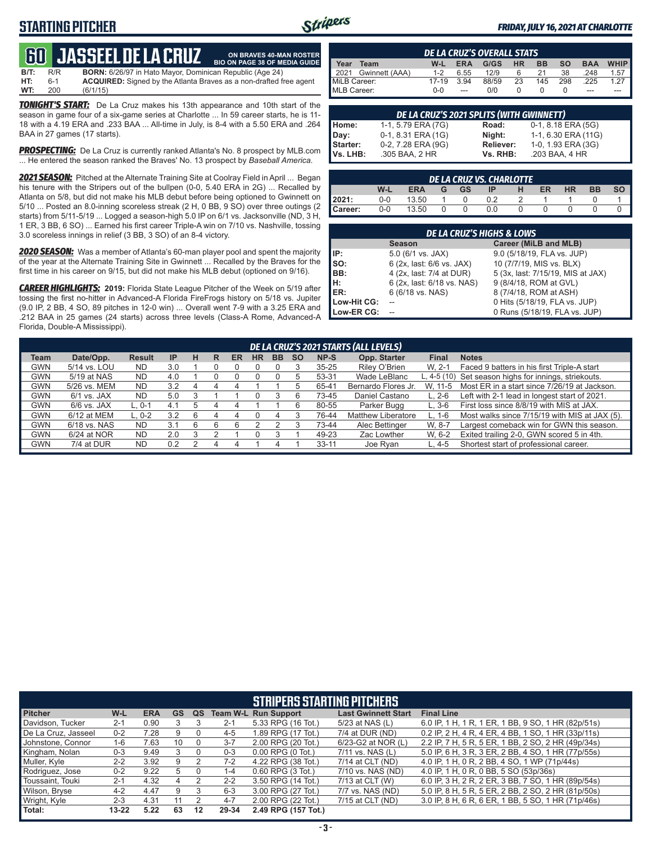#### **STARTING PITCHER**



**ON BRAVES 40-MAN ROSTER**

#### *FRIDAY, JULY 16, 2021 AT CHARLOTTE*

## **60****JASSEEL DE LA CRUZ**

**B/T:** R/R **BORN:** 6/26/97 in Hato Mayor, Dominican Republic (Age 24)<br>**HT:** 6-1 **ACQUIRED:** Signed by the Atlanta Braves as a non-drafted fi **HT:** 6-1 **ACQUIRED:** Signed by the Atlanta Braves as a non-drafted free agent **WT:** 200 (6/1/15) **BIO ON PAGE 38 OF MEDIA GUIDE**

*TONIGHT'S START:* De La Cruz makes his 13th appearance and 10th start of the season in game four of a six-game series at Charlotte ... In 59 career starts, he is 11- 18 with a 4.19 ERA and .233 BAA ... All-time in July, is 8-4 with a 5.50 ERA and .264 BAA in 27 games (17 starts).

*PROSPECTING:* De La Cruz is currently ranked Atlanta's No. 8 prospect by MLB.com ... He entered the season ranked the Braves' No. 13 prospect by *Baseball America*.

2021 SEASON: Pitched at the Alternate Training Site at Coolray Field in April ... Began his tenure with the Stripers out of the bullpen (0-0, 5.40 ERA in 2G) ... Recalled by Atlanta on 5/8, but did not make his MLB debut before being optioned to Gwinnett on 5/10 ... Posted an 8.0-inning scoreless streak (2 H, 0 BB, 9 SO) over three outings (2 starts) from 5/11-5/19 ... Logged a season-high 5.0 IP on 6/1 vs. Jacksonville (ND, 3 H, 1 ER, 3 BB, 6 SO) ... Earned his first career Triple-A win on 7/10 vs. Nashville, tossing 3.0 scoreless innings in relief (3 BB, 3 SO) of an 8-4 victory.

*2020 SEASON:* Was a member of Atlanta's 60-man player pool and spent the majority of the year at the Alternate Training Site in Gwinnett ... Recalled by the Braves for the first time in his career on 9/15, but did not make his MLB debut (optioned on 9/16).

*CAREER HIGHLIGHTS:* **2019:** Florida State League Pitcher of the Week on 5/19 after tossing the first no-hitter in Advanced-A Florida FireFrogs history on 5/18 vs. Jupiter (9.0 IP, 2 BB, 4 SO, 89 pitches in 12-0 win) ... Overall went 7-9 with a 3.25 ERA and .212 BAA in 25 games (24 starts) across three levels (Class-A Rome, Advanced-A Florida, Double-A Mississippi).

| <b>DE LA CRUZ'S OVERALL STATS</b> |                |         |            |       |           |           |           |            |                       |
|-----------------------------------|----------------|---------|------------|-------|-----------|-----------|-----------|------------|-----------------------|
| Year                              | Team           | W-L     | <b>ERA</b> | G/GS  | <b>HR</b> | <b>BB</b> | <b>SO</b> | <b>BAA</b> | <b>WHIP</b>           |
| $\vert$ 2021                      | Gwinnett (AAA) | $1 - 2$ | 6.55       | 12/9  | 6         | 21        | 38        | .248       | $1.57$ $\blacksquare$ |
| MiLB Career:                      |                | 17-19   | 3.94       | 88/59 | 23        | 145       | 298       | .225       | 127                   |
| MLB Career:                       |                | $0 - 0$ |            | 0/0   |           |           |           | ---        |                       |

| DE LA CRUZ'S 2021 SPLITS (WITH GWINNETT) |                    |           |                       |  |  |  |  |  |
|------------------------------------------|--------------------|-----------|-----------------------|--|--|--|--|--|
| Home:                                    | 1-1, 5.79 ERA (7G) | Road:     | $0-1$ , 8.18 ERA (5G) |  |  |  |  |  |
| Day:                                     | 0-1, 8.31 ERA (1G) | Night:    | 1-1, 6.30 ERA (11G)   |  |  |  |  |  |
| Starter:                                 | 0-2, 7.28 ERA (9G) | Reliever: | 1-0, 1.93 ERA (3G)    |  |  |  |  |  |
| Vs. LHB:                                 | .305 BAA, 2 HR     | Vs. RHB:  | .203 BAA, 4 HR        |  |  |  |  |  |

| DE LA CRUZ VŠ. CHARLOTTE I |                                                 |       |  |  |     |  |  |  |  |  |  |  |  |
|----------------------------|-------------------------------------------------|-------|--|--|-----|--|--|--|--|--|--|--|--|
|                            | <b>HR</b><br>W-l<br>BB<br>ERA<br>ER<br>GS<br>IP |       |  |  |     |  |  |  |  |  |  |  |  |
| 12021:                     | 0-0                                             | 13.50 |  |  |     |  |  |  |  |  |  |  |  |
| Career:                    | 0-0                                             | 13.50 |  |  | 0.0 |  |  |  |  |  |  |  |  |

| <b>DE LA CRUZ'S HIGHS &amp; LOWS</b> |                            |                                   |  |  |  |  |  |  |  |  |  |
|--------------------------------------|----------------------------|-----------------------------------|--|--|--|--|--|--|--|--|--|
|                                      | <b>Season</b>              | Career (MiLB and MLB)             |  |  |  |  |  |  |  |  |  |
| IP:                                  | 5.0 (6/1 vs. JAX)          | 9.0 (5/18/19, FLA vs. JUP)        |  |  |  |  |  |  |  |  |  |
| SO:                                  | 6 (2x, last: 6/6 vs. JAX)  | 10 (7/7/19, MIS vs. BLX)          |  |  |  |  |  |  |  |  |  |
| BB:                                  | 4 (2x, last: 7/4 at DUR)   | 5 (3x, last: 7/15/19, MIS at JAX) |  |  |  |  |  |  |  |  |  |
| н:                                   | 6 (2x, last: 6/18 vs. NAS) | 9 (8/4/18, ROM at GVL)            |  |  |  |  |  |  |  |  |  |
| ER:                                  | 6 (6/18 vs. NAS)           | 8 (7/4/18, ROM at ASH)            |  |  |  |  |  |  |  |  |  |
| Low-Hit CG:                          |                            | 0 Hits (5/18/19, FLA vs. JUP)     |  |  |  |  |  |  |  |  |  |
| Low-ER CG:                           |                            | 0 Runs (5/18/19, FLA vs. JUP)     |  |  |  |  |  |  |  |  |  |

|            | DE LA CRUZ'S 2021 STARTS (ALL LEVELS) |               |           |   |   |    |           |           |           |           |                           |              |                                                       |
|------------|---------------------------------------|---------------|-----------|---|---|----|-----------|-----------|-----------|-----------|---------------------------|--------------|-------------------------------------------------------|
| Team       | Date/Opp.                             | <b>Result</b> | <b>IP</b> | н | R | ER | <b>HR</b> | <b>BB</b> | <b>SO</b> | NP-S      | Opp. Starter              | <b>Final</b> | <b>Notes</b>                                          |
| <b>GWN</b> | 5/14 vs. LOU                          | <b>ND</b>     | 3.0       |   |   |    |           |           |           | $35 - 25$ | Riley O'Brien             | W. 2-1       | Faced 9 batters in his first Triple-A start           |
| <b>GWN</b> | 5/19 at NAS                           | <b>ND</b>     | 4.0       |   |   |    |           |           | 5         | 53-31     | Wade LeBlanc              |              | L, 4-5 (10) Set season highs for innings, striekouts. |
| <b>GWN</b> | 5/26 vs. MEM                          | <b>ND</b>     | 3.2       |   |   |    |           |           |           | 65-41     | Bernardo Flores Jr.       | W. 11-5      | Most ER in a start since 7/26/19 at Jackson.          |
| <b>GWN</b> | 6/1 vs. JAX                           | ND.           | 5.0       |   |   |    |           |           |           | 73-45     | Daniel Castano            | L. 2-6       | Left with 2-1 lead in longest start of 2021.          |
| <b>GWN</b> | $6/6$ vs. JAX                         | L. 0-1        | 4.1       | 5 | 4 | 4  |           |           |           | 80-55     | Parker Bugg               | $L.3-6$      | First loss since 8/8/19 with MIS at JAX.              |
| <b>GWN</b> | 6/12 at MEM                           | $L.0-2$       | 3.2       |   |   |    |           |           |           | 76-44     | <b>Matthew Liberatore</b> | L. 1-6       | Most walks since 7/15/19 with MIS at JAX (5).         |
| <b>GWN</b> | 6/18 vs. NAS                          | <b>ND</b>     | 3.1       |   |   |    |           |           |           | 73-44     | Alec Bettinger            | W. 8-7       | Largest comeback win for GWN this season.             |
| <b>GWN</b> | 6/24 at NOR                           | <b>ND</b>     | 2.0       |   |   |    |           |           |           | 49-23     | Zac Lowther               | W. 6-2       | Exited trailing 2-0, GWN scored 5 in 4th.             |
| <b>GWN</b> | 7/4 at DUR                            | ND.           | 0.2       |   |   | 4  |           |           |           | $33 - 11$ | Joe Ryan                  | $L.4-5$      | Shortest start of professional career.                |
|            |                                       |               |           |   |   |    |           |           |           |           |                           |              |                                                       |

| <b>STRIPERS STARTING PITCHERS</b> |           |            |    |    |         |                             |                            |                                                    |  |  |  |  |
|-----------------------------------|-----------|------------|----|----|---------|-----------------------------|----------------------------|----------------------------------------------------|--|--|--|--|
| <b>Pitcher</b>                    | W-L       | <b>ERA</b> | GS | QS |         | <b>Team W-L Run Support</b> | <b>Last Gwinnett Start</b> | <b>Final Line</b>                                  |  |  |  |  |
| Davidson, Tucker                  | $2 - 1$   | 0.90       |    |    | $2 - 1$ | 5.33 RPG (16 Tot.)          | 5/23 at NAS (L)            | 6.0 IP, 1 H, 1 R, 1 ER, 1 BB, 9 SO, 1 HR (82p/51s) |  |  |  |  |
| De La Cruz, Jasseel               | $0 - 2$   | 7.28       | 9  |    | $4 - 5$ | 1.89 RPG (17 Tot.)          | 7/4 at DUR (ND)            | 0.2 IP, 2 H, 4 R, 4 ER, 4 BB, 1 SO, 1 HR (33p/11s) |  |  |  |  |
| Johnstone, Connor                 | $1 - 6$   | 7.63       | 10 |    | $3 - 7$ | 2.00 RPG (20 Tot.)          | 6/23-G2 at NOR (L)         | 2.2 IP, 7 H, 5 R, 5 ER, 1 BB, 2 SO, 2 HR (49p/34s) |  |  |  |  |
| Kingham, Nolan                    | $0 - 3$   | 9.49       |    |    | $0 - 3$ | $0.00$ RPG $(0$ Tot.)       | 7/11 vs. NAS (L)           | 5.0 IP, 6 H, 3 R, 3 ER, 2 BB, 4 SO, 1 HR (77p/55s) |  |  |  |  |
| Muller, Kyle                      | $2 - 2$   | 3.92       | g  |    | $7-2$   | 4.22 RPG (38 Tot.)          | 7/14 at CLT (ND)           | 4.0 IP, 1 H, 0 R, 2 BB, 4 SO, 1 WP (71p/44s)       |  |  |  |  |
| Rodriguez, Jose                   | $0 - 2$   | 9.22       | 5  |    | $1 - 4$ | 0.60 RPG (3 Tot.)           | 7/10 vs. NAS (ND)          | 4.0 IP, 1 H, 0 R, 0 BB, 5 SO (53p/36s)             |  |  |  |  |
| Toussaint, Touki                  | $2 - 1$   | 4.32       | 4  |    | $2 - 2$ | 3.50 RPG (14 Tot.)          | 7/13 at CLT (W)            | 6.0 IP, 3 H, 2 R, 2 ER, 3 BB, 7 SO, 1 HR (89p/54s) |  |  |  |  |
| Wilson, Bryse                     | $4-2$     | 4.47       | 9  |    | $6 - 3$ | 3.00 RPG (27 Tot.)          | 7/7 vs. NAS (ND)           | 5.0 IP, 8 H, 5 R, 5 ER, 2 BB, 2 SO, 2 HR (81p/50s) |  |  |  |  |
| Wright, Kyle                      | $2 - 3$   | 4.31       | 11 |    | $4 - 7$ | 2.00 RPG (22 Tot.)          | 7/15 at CLT (ND)           | 3.0 IP, 8 H, 6 R, 6 ER, 1 BB, 5 SO, 1 HR (71p/46s) |  |  |  |  |
| Total:                            | $13 - 22$ | 5.22       | 63 | 12 | 29-34   | 2.49 RPG (157 Tot.)         |                            |                                                    |  |  |  |  |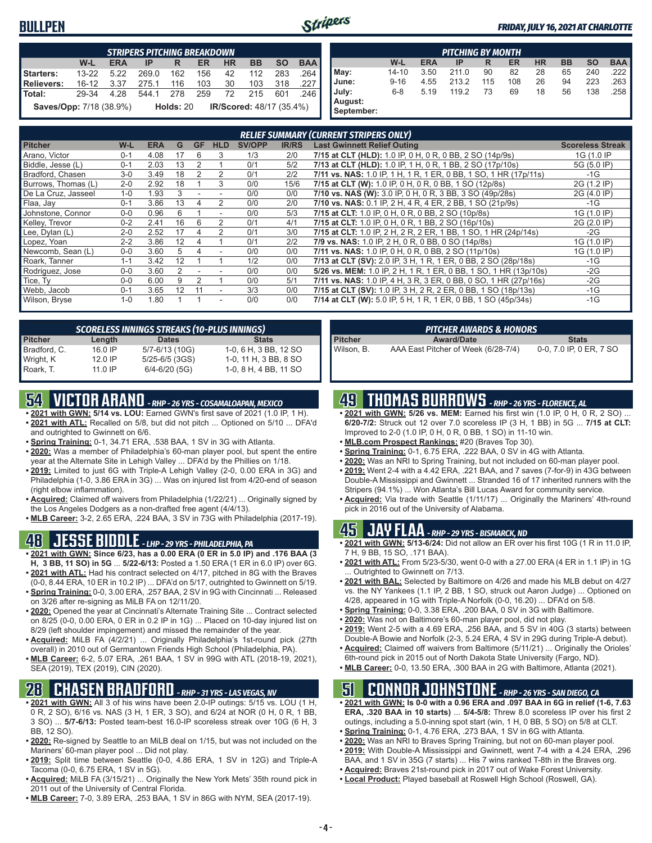#### **BULLPEN**



#### *FRIDAY, JULY 16, 2021 AT CHARLOTTE*

|                                | <b>STRIPERS PITCHING BREAKDOWN</b>                                                        |      |           |             |     |    |                                 |     |      |  |  |  |  |
|--------------------------------|-------------------------------------------------------------------------------------------|------|-----------|-------------|-----|----|---------------------------------|-----|------|--|--|--|--|
|                                | $W-L$<br><b>BAA</b><br><b>BB</b><br><b>SO</b><br><b>ERA</b><br><b>HR</b><br>ER<br>IP<br>R |      |           |             |     |    |                                 |     |      |  |  |  |  |
| Starters:                      | $13 - 22$                                                                                 | 5.22 | 269.0     | 162         | 156 | 42 | 112                             | 283 | 264  |  |  |  |  |
| <b>Relievers:</b>              | 16-12                                                                                     | 3.37 | 275.1     | 116         | 103 | 30 | 103                             | 318 | .227 |  |  |  |  |
| l Total:                       | 29-34                                                                                     | 4.28 | 544.1 278 |             | 259 | 72 | 215                             | 601 | .246 |  |  |  |  |
| <b>Saves/Opp:</b> 7/18 (38.9%) |                                                                                           |      |           | Holds: $20$ |     |    | <b>IR/Scored: 48/17 (35.4%)</b> |     |      |  |  |  |  |

|                       | <b>PITCHING BY MONTH</b> |                                                                           |       |     |     |    |    |     |      |  |  |  |  |  |
|-----------------------|--------------------------|---------------------------------------------------------------------------|-------|-----|-----|----|----|-----|------|--|--|--|--|--|
|                       | W-L                      | <b>HR</b><br>BB<br><b>SO</b><br><b>BAA</b><br><b>ERA</b><br>ER<br>IP<br>R |       |     |     |    |    |     |      |  |  |  |  |  |
| May:                  | $14 - 10$                | 3.50                                                                      | 211.0 | 90  | 82  | 28 | 65 | 240 | .222 |  |  |  |  |  |
| June:                 | $9 - 16$                 | 4.55                                                                      | 213.2 | 115 | 108 | 26 | 94 | 223 | .263 |  |  |  |  |  |
| July:                 | $6 - 8$                  | 5.19                                                                      | 119.2 | 73  | 69  | 18 | 56 | 138 | .258 |  |  |  |  |  |
| August:<br>September: |                          |                                                                           |       |     |     |    |    |     |      |  |  |  |  |  |

|                     |         |            |    |           |            |        |              | <b>RELIEF SUMMARY (CURRENT STRIPERS ONLY)</b>                    |                         |
|---------------------|---------|------------|----|-----------|------------|--------|--------------|------------------------------------------------------------------|-------------------------|
| <b>Pitcher</b>      | W-L     | <b>ERA</b> | G  | <b>GF</b> | <b>HLD</b> | SV/OPP | <b>IR/RS</b> | <b>Last Gwinnett Relief Outing</b>                               | <b>Scoreless Streak</b> |
| Arano, Victor       | $0 - 1$ | 4.08       | 17 | 6         | 3          | 1/3    | 2/0          | 7/15 at CLT (HLD): 1.0 IP, 0 H, 0 R, 0 BB, 2 SO (14p/9s)         | 1G (1.0 IP              |
| Biddle, Jesse (L)   | $0 - 1$ | 2.03       | 13 | 2         |            | 0/1    | 5/2          | 7/13 at CLT (HLD): 1.0 IP, 1 H, 0 R, 1 BB, 2 SO (17p/10s)        | 5G (5.0 IP)             |
| Bradford, Chasen    | $3-0$   | 3.49       | 18 |           | 2          | 0/1    | 2/2          | 7/11 vs. NAS: 1.0 IP, 1 H, 1 R, 1 ER, 0 BB, 1 SO, 1 HR (17p/11s) | $-1G$                   |
| Burrows, Thomas (L) | $2 - 0$ | 2.92       | 18 |           | 3          | 0/0    | 15/6         | 7/15 at CLT (W): 1.0 IP, 0 H, 0 R, 0 BB, 1 SO (12p/8s)           | 2G (1.2 IP)             |
| De La Cruz, Jasseel | $1 - 0$ | 1.93       | 3  |           |            | 0/0    | 0/0          | 7/10 vs. NAS (W): 3.0 IP, 0 H, 0 R, 3 BB, 3 SO (49p/28s)         | 2G (4.0 IP)             |
| Flaa, Jay           | $0 - 1$ | 3.86       | 13 |           |            | 0/0    | 2/0          | 7/10 vs. NAS: 0.1 IP, 2 H, 4 R, 4 ER, 2 BB, 1 SO (21p/9s)        | $-1G$                   |
| Johnstone, Connor   | $0 - 0$ | 0.96       | 6  |           |            | 0/0    | 5/3          | 7/15 at CLT: 1.0 IP, 0 H, 0 R, 0 BB, 2 SO (10p/8s)               | 1G (1.0 IP)             |
| Kelley, Trevor      | $0 - 2$ | 2.41       | 16 | 6         |            | 0/1    | 4/1          | 7/15 at CLT: 1.0 IP, 0 H, 0 R, 1 BB, 2 SO (16p/10s)              | 2G (2.0 IP)             |
| Lee, Dylan (L)      | $2 - 0$ | 2.52       | 17 | 4         | 2          | 0/1    | 3/0          | 7/15 at CLT: 1.0 IP, 2 H, 2 R, 2 ER, 1 BB, 1 SO, 1 HR (24p/14s)  | $-2G$                   |
| Lopez, Yoan         | $2 - 2$ | 3.86       | 12 |           |            | 0/1    | 2/2          | 7/9 vs. NAS: 1.0 IP, 2 H, 0 R, 0 BB, 0 SO (14p/8s)               | 1G (1.0 IP)             |
| Newcomb, Sean (L)   | $0 - 0$ | 3.60       | 5  |           |            | 0/0    | 0/0          | 7/11 vs. NAS: 1.0 IP, 0 H, 0 R, 0 BB, 2 SO (11p/10s)             | 1G (1.0 IP)             |
| Roark, Tanner       | $1 - 1$ | 3.42       | 12 |           |            | 1/2    | 0/0          | 7/13 at CLT (SV): 2.0 IP, 3 H, 1 R, 1 ER, 0 BB, 2 SO (28p/18s)   | $-1G$                   |
| Rodriguez, Jose     | $0 - 0$ | 3.60       | 2  |           |            | 0/0    | 0/0          | 5/26 vs. MEM: 1.0 IP, 2 H, 1 R, 1 ER, 0 BB, 1 SO, 1 HR (13p/10s) | $-2G$                   |
| Tice, Ty            | $0 - 0$ | 6.00       | 9  |           |            | 0/0    | 5/1          | 7/11 vs. NAS: 1.0 IP, 4 H, 3 R, 3 ER, 0 BB, 0 SO, 1 HR (27p/16s) | $-2G$                   |
| Webb, Jacob         | $0 - 1$ | 3.65       | 12 | 11        |            | 3/3    | 0/0          | 7/15 at CLT (SV): 1.0 IP, 3 H, 2 R, 2 ER, 0 BB, 1 SO (18p/13s)   | $-1G$                   |
| Wilson, Bryse       | $1 - 0$ | 1.80       |    |           | ٠          | 0/0    | 0/0          | 7/14 at CLT (W): 5.0 IP, 5 H, 1 R, 1 ER, 0 BB, 1 SO (45p/34s)    | $-1G$                   |

| <b>SCORELESS INNINGS STREAKS (10-PLUS INNINGS)</b> |           |                   |                       |  |  |  |  |  |  |  |  |  |
|----------------------------------------------------|-----------|-------------------|-----------------------|--|--|--|--|--|--|--|--|--|
| <b>Pitcher</b>                                     | Length    | <b>Dates</b>      | <b>Stats</b>          |  |  |  |  |  |  |  |  |  |
| Bradford, C.                                       | $16.0$ IP | 5/7-6/13 (10G)    | 1-0, 6 H, 3 BB, 12 SO |  |  |  |  |  |  |  |  |  |
| Wright, K                                          | $12.0$ IP | 5/25-6/5 (3GS)    | 1-0, 11 H, 3 BB, 8 SO |  |  |  |  |  |  |  |  |  |
| Roark, T.                                          | $11.0$ IP | $6/4 - 6/20$ (5G) | 1-0, 8 H, 4 BB, 11 SO |  |  |  |  |  |  |  |  |  |

# **54 VICTOR ARANO** *- RHP - 26 YRS - COSAMALOAPAN, MEXICO*

- **• 2021 with GWN: 5/14 vs. LOU:** Earned GWN's first save of 2021 (1.0 IP, 1 H). **• 2021 with ATL:** Recalled on 5/8, but did not pitch ... Optioned on 5/10 ... DFA'd
- and outrighted to Gwinnett on 6/6. **• Spring Training:** 0-1, 34.71 ERA, .538 BAA, 1 SV in 3G with Atlanta.
- **• 2020:** Was a member of Philadelphia's 60-man player pool, but spent the entire year at the Alternate Site in Lehigh Valley ... DFA'd by the Phillies on 1/18.
- **• 2019:** Limited to just 6G with Triple-A Lehigh Valley (2-0, 0.00 ERA in 3G) and Philadelphia (1-0, 3.86 ERA in 3G) ... Was on injured list from 4/20-end of season (right elbow inflammation).
- **• Acquired:** Claimed off waivers from Philadelphia (1/22/21) ... Originally signed by the Los Angeles Dodgers as a non-drafted free agent (4/4/13).
- **• MLB Career:** 3-2, 2.65 ERA, .224 BAA, 3 SV in 73G with Philadelphia (2017-19).

## **48 JESSE BIDDLE** *- LHP - 29 YRS - PHILADELPHIA, PA*

- **• 2021 with GWN: Since 6/23, has a 0.00 ERA (0 ER in 5.0 IP) and .176 BAA (3 H, 3 BB, 11 SO) in 5G** ... **5/22-6/13:** Posted a 1.50 ERA (1 ER in 6.0 IP) over 6G.
- **• 2021 with ATL:** Had his contract selected on 4/17, pitched in 8G with the Braves (0-0, 8.44 ERA, 10 ER in 10.2 IP) ... DFA'd on 5/17, outrighted to Gwinnett on 5/19.
- **• Spring Training:** 0-0, 3.00 ERA, .257 BAA, 2 SV in 9G with Cincinnati ... Released on 3/26 after re-signing as MiLB FA on 12/11/20.
- **• 2020:** Opened the year at Cincinnati's Alternate Training Site ... Contract selected on 8/25 (0-0, 0.00 ERA, 0 ER in 0.2 IP in 1G) ... Placed on 10-day injured list on 8/29 (left shoulder impingement) and missed the remainder of the year.
- **• Acquired:** MiLB FA (4/2/21) ... Originally Philadelphia's 1st-round pick (27th overall) in 2010 out of Germantown Friends High School (Philadelphia, PA).
- **• MLB Career:** 6-2, 5.07 ERA, .261 BAA, 1 SV in 99G with ATL (2018-19, 2021), SEA (2019), TEX (2019), CIN (2020).

#### **28 CHASEN BRADFORD** *- RHP - 31 YRS - LAS VEGAS, NV*

- **• 2021 with GWN:** All 3 of his wins have been 2.0-IP outings: 5/15 vs. LOU (1 H, 0 R, 2 SO), 6/16 vs. NAS (3 H, 1 ER, 3 SO), and 6/24 at NOR (0 H, 0 R, 1 BB, 3 SO) ... **5/7-6/13:** Posted team-best 16.0-IP scoreless streak over 10G (6 H, 3 BB, 12 SO).
- **• 2020:** Re-signed by Seattle to an MiLB deal on 1/15, but was not included on the Mariners' 60-man player pool ... Did not play.
- **• 2019:** Split time between Seattle (0-0, 4.86 ERA, 1 SV in 12G) and Triple-A Tacoma (0-0, 6.75 ERA, 1 SV in 5G).
- **• Acquired:** MiLB FA (3/15/21) ... Originally the New York Mets' 35th round pick in 2011 out of the University of Central Florida.
- **• MLB Career:** 7-0, 3.89 ERA, .253 BAA, 1 SV in 86G with NYM, SEA (2017-19).

| <b>PITCHER AWARDS &amp; HONORS</b> |                                     |                         |  |  |  |  |  |  |  |  |  |
|------------------------------------|-------------------------------------|-------------------------|--|--|--|--|--|--|--|--|--|
| <b>Pitcher</b>                     | <b>Award/Date</b>                   | <b>Stats</b>            |  |  |  |  |  |  |  |  |  |
| Wilson. B.                         | AAA East Pitcher of Week (6/28-7/4) | 0-0, 7.0 IP, 0 ER, 7 SO |  |  |  |  |  |  |  |  |  |

# **49 THOMAS BURROWS** *- RHP - 26 YRS - FLORENCE, AL*

- **• 2021 with GWN: 5/26 vs. MEM:** Earned his first win (1.0 IP, 0 H, 0 R, 2 SO) ... **6/20-7/2:** Struck out 12 over 7.0 scoreless IP (3 H, 1 BB) in 5G ... **7/15 at CLT:** Improved to 2-0 (1.0 IP, 0 H, 0 R, 0 BB, 1 SO) in 11-10 win.
- **• MLB.com Prospect Rankings:** #20 (Braves Top 30).
- **• Spring Training:** 0-1, 6.75 ERA, .222 BAA, 0 SV in 4G with Atlanta.
- **• 2020:** Was an NRI to Spring Training, but not included on 60-man player pool.
- **• 2019:** Went 2-4 with a 4.42 ERA, .221 BAA, and 7 saves (7-for-9) in 43G between Double-A Mississippi and Gwinnett ... Stranded 16 of 17 inherited runners with the Stripers (94.1%) ... Won Atlanta's Bill Lucas Award for community service.
- **• Acquired:** Via trade with Seattle (1/11/17) ... Originally the Mariners' 4th-round pick in 2016 out of the University of Alabama.

#### **45 JAY FLAA** *- RHP - 29 YRS - BISMARCK, ND*

- **• 2021 with GWN: 5/13-6/24:** Did not allow an ER over his first 10G (1 R in 11.0 IP, 7 H, 9 BB, 15 SO, .171 BAA).
- **• 2021 with ATL:** From 5/23-5/30, went 0-0 with a 27.00 ERA (4 ER in 1.1 IP) in 1G Outrighted to Gwinnett on 7/13.
- **• 2021 with BAL:** Selected by Baltimore on 4/26 and made his MLB debut on 4/27 vs. the NY Yankees (1.1 IP, 2 BB, 1 SO, struck out Aaron Judge) ... Optioned on 4/28, appeared in 1G with Triple-A Norfolk (0-0, 16.20) ... DFA'd on 5/8.
- **• Spring Training:** 0-0, 3.38 ERA, .200 BAA, 0 SV in 3G with Baltimore.
- **• 2020:** Was not on Baltimore's 60-man player pool, did not play.
- **• 2019:** Went 2-5 with a 4.69 ERA, .256 BAA, and 5 SV in 40G (3 starts) between Double-A Bowie and Norfolk (2-3, 5.24 ERA, 4 SV in 29G during Triple-A debut).
- **• Acquired:** Claimed off waivers from Baltimore (5/11/21) ... Originally the Orioles' 6th-round pick in 2015 out of North Dakota State University (Fargo, ND).
- **• MLB Career:** 0-0, 13.50 ERA, .300 BAA in 2G with Baltimore, Atlanta (2021).

#### **51 CONNOR JOHNSTONE** *- RHP - 26 YRS - SAN DIEGO, CA*

- **• 2021 with GWN: Is 0-0 with a 0.96 ERA and .097 BAA in 6G in relief (1-6, 7.63 ERA, .320 BAA in 10 starts)** ... **5/4-5/8:** Threw 8.0 scoreless IP over his first 2 outings, including a 5.0-inning spot start (win, 1 H, 0 BB, 5 SO) on 5/8 at CLT.
- **• Spring Training:** 0-1, 4.76 ERA, .273 BAA, 1 SV in 6G with Atlanta.
- **• 2020:** Was an NRI to Braves Spring Training, but not on 60-man player pool.
- **• 2019:** With Double-A Mississippi and Gwinnett, went 7-4 with a 4.24 ERA, .296 BAA, and 1 SV in 35G (7 starts) ... His 7 wins ranked T-8th in the Braves org.
- **• Acquired:** Braves 21st-round pick in 2017 out of Wake Forest University.
- **• Local Product:** Played baseball at Roswell High School (Roswell, GA).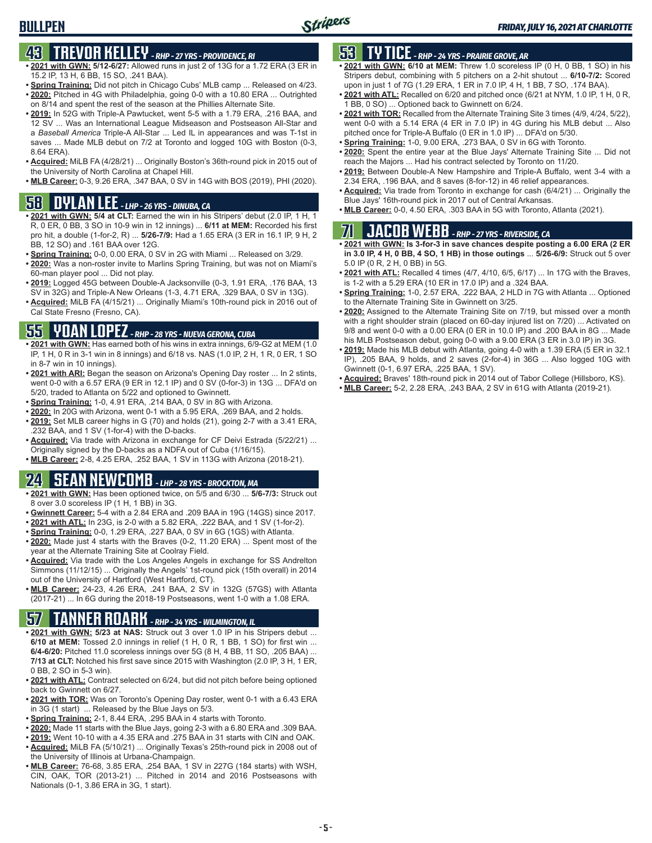# **43 TREVOR KELLEY** *- RHP - 27 YRS - PROVIDENCE, RI*

- **• 2021 with GWN: 5/12-6/27:** Allowed runs in just 2 of 13G for a 1.72 ERA (3 ER in 15.2 IP, 13 H, 6 BB, 15 SO, .241 BAA).
- **• Spring Training:** Did not pitch in Chicago Cubs' MLB camp ... Released on 4/23. **• 2020:** Pitched in 4G with Philadelphia, going 0-0 with a 10.80 ERA ... Outrighted
- on 8/14 and spent the rest of the season at the Phillies Alternate Site. **• 2019:** In 52G with Triple-A Pawtucket, went 5-5 with a 1.79 ERA, .216 BAA, and
- 12 SV ... Was an International League Midseason and Postseason All-Star and a *Baseball America* Triple-A All-Star ... Led IL in appearances and was T-1st in saves ... Made MLB debut on 7/2 at Toronto and logged 10G with Boston (0-3, 8.64 ERA).
- **• Acquired:** MiLB FA (4/28/21) ... Originally Boston's 36th-round pick in 2015 out of the University of North Carolina at Chapel Hill.
- **• MLB Career:** 0-3, 9.26 ERA, .347 BAA, 0 SV in 14G with BOS (2019), PHI (2020).

## **58 DYLAN LEE** *- LHP - 26 YRS - DINUBA, CA*

- **• 2021 with GWN: 5/4 at CLT:** Earned the win in his Stripers' debut (2.0 IP, 1 H, 1 R, 0 ER, 0 BB, 3 SO in 10-9 win in 12 innings) ... **6/11 at MEM:** Recorded his first pro hit, a double (1-for-2, R) ... **5/26-7/9:** Had a 1.65 ERA (3 ER in 16.1 IP, 9 H, 2 BB, 12 SO) and .161 BAA over 12G.
- **• Spring Training:** 0-0, 0.00 ERA, 0 SV in 2G with Miami ... Released on 3/29.
- **• 2020:** Was a non-roster invite to Marlins Spring Training, but was not on Miami's 60-man player pool ... Did not play.
- **• 2019:** Logged 45G between Double-A Jacksonville (0-3, 1.91 ERA, .176 BAA, 13 SV in 32G) and Triple-A New Orleans (1-3, 4.71 ERA, .329 BAA, 0 SV in 13G).
- **• Acquired:** MiLB FA (4/15/21) ... Originally Miami's 10th-round pick in 2016 out of Cal State Fresno (Fresno, CA).

#### **55 YOAN LOPEZ** *- RHP - 28 YRS - NUEVA GERONA, CUBA*

- **• 2021 with GWN:** Has earned both of his wins in extra innings, 6/9-G2 at MEM (1.0 IP, 1 H, 0 R in 3-1 win in 8 innings) and 6/18 vs. NAS (1.0 IP, 2 H, 1 R, 0 ER, 1 SO in 8-7 win in 10 innings).
- **• 2021 with ARI:** Began the season on Arizona's Opening Day roster ... In 2 stints, went 0-0 with a 6.57 ERA (9 ER in 12.1 IP) and 0 SV (0-for-3) in 13G ... DFA'd on 5/20, traded to Atlanta on 5/22 and optioned to Gwinnett.
- **• Spring Training:** 1-0, 4.91 ERA, .214 BAA, 0 SV in 8G with Arizona.
- **• 2020:** In 20G with Arizona, went 0-1 with a 5.95 ERA, .269 BAA, and 2 holds. **• 2019:** Set MLB career highs in G (70) and holds (21), going 2-7 with a 3.41 ERA,
- .232 BAA, and 1 SV (1-for-4) with the D-backs. **• Acquired:** Via trade with Arizona in exchange for CF Deivi Estrada (5/22/21) ... Originally signed by the D-backs as a NDFA out of Cuba (1/16/15).
- **• MLB Career:** 2-8, 4.25 ERA, .252 BAA, 1 SV in 113G with Arizona (2018-21).

## **24 SEAN NEWCOMB** *- LHP - 28 YRS - BROCKTON, MA*

- **• 2021 with GWN:** Has been optioned twice, on 5/5 and 6/30 ... **5/6-7/3:** Struck out 8 over 3.0 scoreless IP (1 H, 1 BB) in 3G.
- **• Gwinnett Career:** 5-4 with a 2.84 ERA and .209 BAA in 19G (14GS) since 2017.
- **• 2021 with ATL:** In 23G, is 2-0 with a 5.82 ERA, .222 BAA, and 1 SV (1-for-2).
- **• Spring Training:** 0-0, 1.29 ERA, .227 BAA, 0 SV in 6G (1GS) with Atlanta.
- **• 2020:** Made just 4 starts with the Braves (0-2, 11.20 ERA) ... Spent most of the year at the Alternate Training Site at Coolray Field.
- **• Acquired:** Via trade with the Los Angeles Angels in exchange for SS Andrelton Simmons (11/12/15) ... Originally the Angels' 1st-round pick (15th overall) in 2014 out of the University of Hartford (West Hartford, CT).
- **• MLB Career:** 24-23, 4.26 ERA, .241 BAA, 2 SV in 132G (57GS) with Atlanta (2017-21) ... In 6G during the 2018-19 Postseasons, went 1-0 with a 1.08 ERA.

## **57 TANNER ROARK** *- RHP - 34 YRS - WILMINGTON, IL*

- **• 2021 with GWN: 5/23 at NAS:** Struck out 3 over 1.0 IP in his Stripers debut ... **6/10 at MEM:** Tossed 2.0 innings in relief (1 H, 0 R, 1 BB, 1 SO) for first win ... **6/4-6/20:** Pitched 11.0 scoreless innings over 5G (8 H, 4 BB, 11 SO, .205 BAA) ... **7/13 at CLT:** Notched his first save since 2015 with Washington (2.0 IP, 3 H, 1 ER, 0 BB, 2 SO in 5-3 win).
- **• 2021 with ATL:** Contract selected on 6/24, but did not pitch before being optioned back to Gwinnett on 6/27.
- **• 2021 with TOR:** Was on Toronto's Opening Day roster, went 0-1 with a 6.43 ERA in 3G (1 start) ... Released by the Blue Jays on 5/3.
- **• Spring Training:** 2-1, 8.44 ERA, .295 BAA in 4 starts with Toronto.
- **• 2020:** Made 11 starts with the Blue Jays, going 2-3 with a 6.80 ERA and .309 BAA.
- **• 2019:** Went 10-10 with a 4.35 ERA and .275 BAA in 31 starts with CIN and OAK.
- **• Acquired:** MiLB FA (5/10/21) ... Originally Texas's 25th-round pick in 2008 out of the University of Illinois at Urbana-Champaign.
- **• MLB Career:** 76-68, 3.85 ERA, .254 BAA, 1 SV in 227G (184 starts) with WSH, CIN, OAK, TOR (2013-21) ... Pitched in 2014 and 2016 Postseasons with Nationals (0-1, 3.86 ERA in 3G, 1 start).

#### **53 TY TICE** *- RHP - 24 YRS - PRAIRIE GROVE, AR*

- **• 2021 with GWN: 6/10 at MEM:** Threw 1.0 scoreless IP (0 H, 0 BB, 1 SO) in his Stripers debut, combining with 5 pitchers on a 2-hit shutout ... **6/10-7/2:** Scored upon in just 1 of 7G (1.29 ERA, 1 ER in 7.0 IP, 4 H, 1 BB, 7 SO, .174 BAA).
- **• 2021 with ATL:** Recalled on 6/20 and pitched once (6/21 at NYM, 1.0 IP, 1 H, 0 R, 1 BB, 0 SO) ... Optioned back to Gwinnett on 6/24.
- **• 2021 with TOR:** Recalled from the Alternate Training Site 3 times (4/9, 4/24, 5/22), went 0-0 with a 5.14 ERA (4 ER in 7.0 IP) in 4G during his MLB debut ... Also pitched once for Triple-A Buffalo (0 ER in 1.0 IP) ... DFA'd on 5/30.
- **• Spring Training:** 1-0, 9.00 ERA, .273 BAA, 0 SV in 6G with Toronto.
- **• 2020:** Spent the entire year at the Blue Jays' Alternate Training Site ... Did not reach the Majors ... Had his contract selected by Toronto on 11/20.
- **• 2019:** Between Double-A New Hampshire and Triple-A Buffalo, went 3-4 with a 2.34 ERA, .196 BAA, and 8 saves (8-for-12) in 46 relief appearances.
- **• Acquired:** Via trade from Toronto in exchange for cash (6/4/21) ... Originally the Blue Jays' 16th-round pick in 2017 out of Central Arkansas.
- **• MLB Career:** 0-0, 4.50 ERA, .303 BAA in 5G with Toronto, Atlanta (2021).

# **71 JACOB WEBB** *- RHP - 27 YRS - RIVERSIDE, CA*

**• 2021 with GWN: Is 3-for-3 in save chances despite posting a 6.00 ERA (2 ER in 3.0 IP, 4 H, 0 BB, 4 SO, 1 HB) in those outings** ... **5/26-6/9:** Struck out 5 over 5.0 IP (0 R, 2 H, 0 BB) in 5G.

- **• 2021 with ATL:** Recalled 4 times (4/7, 4/10, 6/5, 6/17) ... In 17G with the Braves, is 1-2 with a 5.29 ERA (10 ER in 17.0 IP) and a .324 BAA.
- **• Spring Training:** 1-0, 2.57 ERA, .222 BAA, 2 HLD in 7G with Atlanta ... Optioned to the Alternate Training Site in Gwinnett on 3/25.
- **• 2020:** Assigned to the Alternate Training Site on 7/19, but missed over a month with a right shoulder strain (placed on 60-day injured list on 7/20) ... Activated on 9/8 and went 0-0 with a 0.00 ERA (0 ER in 10.0 IP) and .200 BAA in 8G ... Made his MLB Postseason debut, going 0-0 with a 9.00 ERA (3 ER in 3.0 IP) in 3G.
- **• 2019:** Made his MLB debut with Atlanta, going 4-0 with a 1.39 ERA (5 ER in 32.1 IP), .205 BAA, 9 holds, and 2 saves (2-for-4) in 36G ... Also logged 10G with Gwinnett (0-1, 6.97 ERA, .225 BAA, 1 SV).
- **• Acquired:** Braves' 18th-round pick in 2014 out of Tabor College (Hillsboro, KS).
- **• MLB Career:** 5-2, 2.28 ERA, .243 BAA, 2 SV in 61G with Atlanta (2019-21).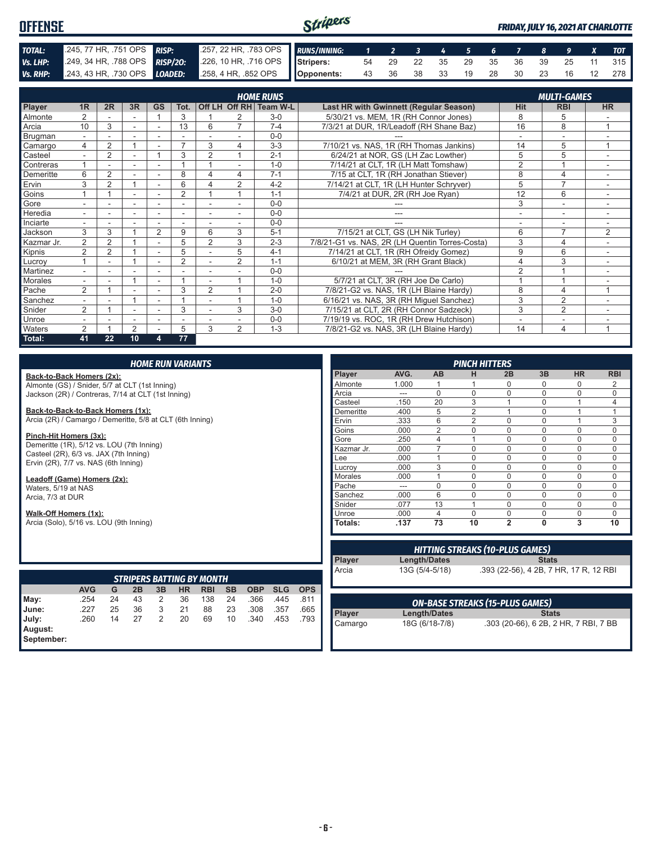#### Stripers **OFFENSE** *FRIDAY, JULY 16, 2021 AT CHARLOTTE TOTAL:* .245, 77 HR, .751 OPS *RISP:* .257, 22 HR, .783 OPS *RUNS/INNING: 1 2 3 4 5 6 7 8 9 X TOT Vs. LHP:* .249, 34 HR, .788 OPS *RISP/2O:* .226, 10 HR, .716 OPS **Stripers:** 54 29 22 35 29 35 36 39 25 11 315 *Vs. RHP:* .243, 43 HR, .730 OPS *LOADED:* .258, 4 HR, .852 OPS **Opponents:** 43 36 38 33 19 28 30 23 16 12 278

|            |                          |                |                |                |                |                          |                          | <b>HOME RUNS</b> |                                                 |                          | <b>MULTI-GAMES</b>       |                |  |  |
|------------|--------------------------|----------------|----------------|----------------|----------------|--------------------------|--------------------------|------------------|-------------------------------------------------|--------------------------|--------------------------|----------------|--|--|
| Player     | 1R                       | 2R             | 3R             | <b>GS</b>      | Tot.           |                          | Off LH Off RH            | Team W-L         | Last HR with Gwinnett (Regular Season)          | <b>Hit</b>               | <b>RBI</b>               | <b>HR</b>      |  |  |
| Almonte    | $\overline{2}$           |                |                |                | 3              |                          | 2                        | $3-0$            | 5/30/21 vs. MEM, 1R (RH Connor Jones)           | 8                        | 5                        |                |  |  |
| Arcia      | 10                       | 3              |                |                | 13             | 6                        |                          | $7 - 4$          | 7/3/21 at DUR, 1R/Leadoff (RH Shane Baz)        | 16                       | 8                        |                |  |  |
| Brugman    | $\sim$                   |                | ۰              | ۰              |                |                          |                          | $0 - 0$          |                                                 |                          | $\overline{\phantom{a}}$ |                |  |  |
| Camargo    | 4                        | $\overline{2}$ |                |                | $\overline{ }$ | 3                        | 4                        | $3 - 3$          | 7/10/21 vs. NAS, 1R (RH Thomas Jankins)         | 14                       | 5                        | $\overline{ }$ |  |  |
| Casteel    |                          | 2              | ٠              |                | 3              | $\overline{2}$           |                          | $2 - 1$          | 6/24/21 at NOR. GS (LH Zac Lowther)             | 5                        | 5                        |                |  |  |
| Contreras  |                          |                |                | ۰              |                |                          |                          | $1 - 0$          | 7/14/21 at CLT, 1R (LH Matt Tomshaw)            | 2                        |                          |                |  |  |
| Demeritte  | 6                        | 2              | ٠              | ٠              | 8              | 4                        | 4                        | $7 - 1$          | 7/15 at CLT, 1R (RH Jonathan Stiever)           | 8                        | $\overline{4}$           | $\sim$         |  |  |
| Ervin      | 3                        | $\overline{2}$ |                | ۰              | 6              |                          | $\overline{2}$           | $4 - 2$          | 7/14/21 at CLT, 1R (LH Hunter Schryver)         | 5                        | $\overline{7}$           |                |  |  |
| Goins      |                          |                |                |                | $\overline{2}$ |                          |                          | $1 - 1$          | 7/4/21 at DUR, 2R (RH Joe Ryan)                 | 12                       | 6                        |                |  |  |
| Gore       |                          |                | ٠              |                |                |                          |                          | $0-0$            |                                                 | 3                        | ÷.                       |                |  |  |
| Heredia    | $\overline{a}$           |                |                |                |                |                          |                          | $0 - 0$          | ---                                             | ٠                        | ۰                        | $\sim$         |  |  |
| Inciarte   | $\overline{\phantom{a}}$ |                | ۰              | ۰              | ٠              | $\overline{\phantom{a}}$ | $\overline{\phantom{a}}$ | $0 - 0$          | ---                                             | $\overline{\phantom{a}}$ | $\overline{\phantom{a}}$ | ٠              |  |  |
| Jackson    | 3                        | 3              |                | $\overline{2}$ | 9              | 6                        | 3                        | $5 - 1$          | 7/15/21 at CLT, GS (LH Nik Turley)              | 6                        | $\overline{7}$           | $\overline{2}$ |  |  |
| Kazmar Jr. | $\overline{2}$           | $\overline{2}$ |                | ٠              | 5              | $\overline{2}$           | 3                        | $2 - 3$          | 7/8/21-G1 vs. NAS, 2R (LH Quentin Torres-Costa) | 3                        | 4                        | ٠              |  |  |
| Kipnis     | $\overline{2}$           | 2              |                |                | 5              |                          | 5                        | $4 - 1$          | 7/14/21 at CLT, 1R (RH Ofreidy Gomez)           | 9                        | 6                        |                |  |  |
| Lucroy     |                          |                |                | ۰              | 2              |                          | 2                        | $1 - 1$          | 6/10/21 at MEM, 3R (RH Grant Black)             | 4                        | 3                        | $\sim$         |  |  |
| Martinez   |                          |                |                |                |                |                          |                          | $0 - 0$          |                                                 | $\overline{2}$           |                          |                |  |  |
| Morales    |                          |                |                |                |                |                          |                          | $1 - 0$          | 5/7/21 at CLT, 3R (RH Joe De Carlo)             |                          |                          |                |  |  |
| Pache      | $\overline{2}$           |                | ۰              |                | 3              | $\overline{2}$           |                          | $2 - 0$          | 7/8/21-G2 vs. NAS, 1R (LH Blaine Hardy)         | 8                        | 4                        |                |  |  |
| Sanchez    |                          |                |                |                |                |                          |                          | $1 - 0$          | 6/16/21 vs. NAS, 3R (RH Miquel Sanchez)         | 3                        | $\overline{2}$           |                |  |  |
| Snider     | $\overline{2}$           |                | ٠              | ٠              | 3              | ٠                        | 3                        | $3-0$            | 7/15/21 at CLT, 2R (RH Connor Sadzeck)          | 3                        | $\overline{2}$           |                |  |  |
| Unroe      |                          |                |                |                |                |                          |                          | $0 - 0$          | 7/19/19 vs. ROC, 1R (RH Drew Hutchison)         |                          | ۰                        |                |  |  |
| Waters     | 2                        |                | $\overline{2}$ |                | 5              | 3                        | $\mathfrak{D}$           | $1 - 3$          | 7/8/21-G2 vs. NAS, 3R (LH Blaine Hardy)         | 14                       | $\overline{\mathcal{A}}$ |                |  |  |
| Total:     | 41                       | 22             | 10             | 4              | 77             |                          |                          |                  |                                                 |                          |                          |                |  |  |

#### *HOME RUN VARIANTS*

**Back-to-Back Homers (2x):** Almonte (GS) / Snider, 5/7 at CLT (1st Inning)

Jackson (2R) / Contreras, 7/14 at CLT (1st Inning)

**Back-to-Back-to-Back Homers (1x):** Arcia (2R) / Camargo / Demeritte, 5/8 at CLT (6th Inning)

**Pinch-Hit Homers (3x):** Demeritte (1R), 5/12 vs. LOU (7th Inning) Casteel (2R), 6/3 vs. JAX (7th Inning) Ervin (2R), 7/7 vs. NAS (6th Inning)

**Leadoff (Game) Homers (2x):** Waters, 5/19 at NAS Arcia, 7/3 at DUR

**Walk-Off Homers (1x):**

Arcia (Solo), 5/16 vs. LOU (9th Inning)

|                       | <b>STRIPERS BATTING BY MONTH</b> |                                                                                          |    |   |    |     |    |      |      |      |  |  |  |
|-----------------------|----------------------------------|------------------------------------------------------------------------------------------|----|---|----|-----|----|------|------|------|--|--|--|
|                       | <b>AVG</b>                       | <b>OPS</b><br><b>SB</b><br><b>OBP</b><br><b>SLG</b><br>HR<br>2Β<br>3B<br><b>RBI</b><br>G |    |   |    |     |    |      |      |      |  |  |  |
| May:                  | .254                             | 24                                                                                       | 43 | 2 | 36 | 138 | 24 | .366 | .445 | .811 |  |  |  |
| June:                 | .227                             | 25                                                                                       | 36 | 3 | 21 | 88  | 23 | .308 | .357 | .665 |  |  |  |
| July:                 | .260                             | 14                                                                                       | 27 | 2 | 20 | 69  | 10 | .340 | .453 | .793 |  |  |  |
| August:<br>September: |                                  |                                                                                          |    |   |    |     |    |      |      |      |  |  |  |

|                | <b>PINCH HITTERS</b> |                |                |                |          |           |                |  |  |  |  |  |  |
|----------------|----------------------|----------------|----------------|----------------|----------|-----------|----------------|--|--|--|--|--|--|
| Player         | AVG.                 | <b>AB</b>      | н              | 2B             | 3B       | <b>HR</b> | <b>RBI</b>     |  |  |  |  |  |  |
| Almonte        | 1.000                |                |                | $\Omega$       | ი        | $\Omega$  | 2              |  |  |  |  |  |  |
| Arcia          | ---                  | U              | $\Omega$       | $\mathbf 0$    | $\Omega$ | $\Omega$  | $\Omega$       |  |  |  |  |  |  |
| Casteel        | .150                 | 20             | 3              | 1              | $\Omega$ |           | $\overline{4}$ |  |  |  |  |  |  |
| Demeritte      | .400                 | 5              | $\overline{2}$ | 1              | $\Omega$ |           | 1              |  |  |  |  |  |  |
| Ervin          | .333                 | 6              | $\overline{2}$ | $\Omega$       | $\Omega$ | 1         | 3              |  |  |  |  |  |  |
| Goins          | .000                 | $\overline{2}$ | $\Omega$       | $\Omega$       | $\Omega$ | $\Omega$  | $\Omega$       |  |  |  |  |  |  |
| Gore           | .250                 | 4              | 1              | $\Omega$       | 0        | $\Omega$  | $\Omega$       |  |  |  |  |  |  |
| Kazmar Jr.     | .000                 |                | $\Omega$       | $\Omega$       | $\Omega$ | $\Omega$  | $\Omega$       |  |  |  |  |  |  |
| Lee            | .000                 |                | $\Omega$       | $\Omega$       | $\Omega$ | $\Omega$  | $\Omega$       |  |  |  |  |  |  |
| Lucroy         | .000                 | 3              | $\Omega$       | $\Omega$       | $\Omega$ | $\Omega$  | $\Omega$       |  |  |  |  |  |  |
| <b>Morales</b> | .000                 |                | $\Omega$       | $\Omega$       | $\Omega$ | $\Omega$  | $\Omega$       |  |  |  |  |  |  |
| Pache          | ---                  | O              | $\Omega$       | $\Omega$       | $\Omega$ | $\Omega$  | $\Omega$       |  |  |  |  |  |  |
| Sanchez        | .000                 | 6              | $\Omega$       | $\Omega$       | $\Omega$ | $\Omega$  | $\Omega$       |  |  |  |  |  |  |
| Snider         | .077                 | 13             | 1              | $\Omega$       | $\Omega$ | $\Omega$  | $\Omega$       |  |  |  |  |  |  |
| Unroe          | .000                 | 4              | $\Omega$       | $\Omega$       | $\Omega$ | $\Omega$  | $\Omega$       |  |  |  |  |  |  |
| Totals:        | .137                 | 73             | 10             | $\overline{2}$ | 0        | 3         | 10             |  |  |  |  |  |  |

| <b>HITTING STREAKS (10-PLUS GAMES)</b> |                |                                        |
|----------------------------------------|----------------|----------------------------------------|
| <b>Player</b>                          | Length/Dates   | <b>Stats</b>                           |
| Arcia                                  | 13G (5/4-5/18) | .393 (22-56), 4 2B, 7 HR, 17 R, 12 RBI |

| <b>ON-BASE STREAKS (15-PLUS GAMES)</b> |                |                                       |
|----------------------------------------|----------------|---------------------------------------|
| <b>Player</b>                          | Length/Dates   | <b>Stats</b>                          |
| Camargo                                | 18G (6/18-7/8) | .303 (20-66), 6 2B, 2 HR, 7 RBI, 7 BB |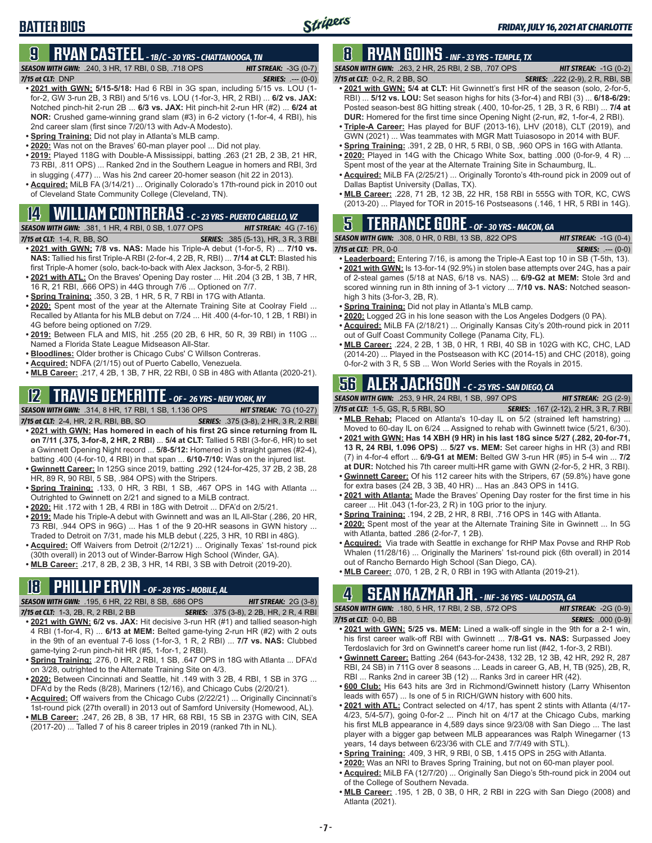# **9 RYAN CASTEEL** *- 1B/C - 30 YRS - CHATTANOOGA, TN*

*SEASON WITH GWN:*.240, 3 HR, 17 RBI, 0 SB, .718 OPS *HIT STREAK:* -3G (0-7) *7/15 at CLT:*DNP *SERIES:* .--- (0-0)

Stripers

- **• 2021 with GWN: 5/15-5/18:** Had 6 RBI in 3G span, including 5/15 vs. LOU (1 for-2, GW 3-run 2B, 3 RBI) and 5/16 vs. LOU (1-for-3, HR, 2 RBI) ... **6/2 vs. JAX:** Notched pinch-hit 2-run 2B ... **6/3 vs. JAX:** Hit pinch-hit 2-run HR (#2) ... **6/24 at NOR:** Crushed game-winning grand slam (#3) in 6-2 victory (1-for-4, 4 RBI), his 2nd career slam (first since 7/20/13 with Adv-A Modesto).
- **• Spring Training:** Did not play in Atlanta's MLB camp.
- **• 2020:** Was not on the Braves' 60-man player pool ... Did not play.
- **• 2019:** Played 118G with Double-A Mississippi, batting .263 (21 2B, 2 3B, 21 HR, 73 RBI, .811 OPS) ... Ranked 2nd in the Southern League in homers and RBI, 3rd in slugging (.477) ... Was his 2nd career 20-homer season (hit 22 in 2013).
- **• Acquired:** MiLB FA (3/14/21) ... Originally Colorado's 17th-round pick in 2010 out of Cleveland State Community College (Cleveland, TN).

#### **14 WILLIAM CONTRERAS** *- C - 23 YRS - PUERTO CABELLO, VZ*

*SEASON WITH GWN:*.381, 1 HR, 4 RBI, 0 SB, 1.077 OPS *HIT STREAK:* 4G (7-16) *7/15 at CLT:*1-4, R, BB, SO *SERIES:* .385 (5-13), HR, 3 R, 3 RBI

- **• 2021 with GWN: 7/8 vs. NAS:** Made his Triple-A debut (1-for-5, R) ... **7/10 vs. NAS:** Tallied his first Triple-A RBI (2-for-4, 2 2B, R, RBI) ... **7/14 at CLT:** Blasted his first Triple-A homer (solo, back-to-back with Alex Jackson, 3-for-5, 2 RBI).
- **• 2021 with ATL:** On the Braves' Opening Day roster ... Hit .204 (3 2B, 1 3B, 7 HR, 16 R, 21 RBI, .666 OPS) in 44G through 7/6 ... Optioned on 7/7.
- **• Spring Training:** .350, 3 2B, 1 HR, 5 R, 7 RBI in 17G with Atlanta.
- **• 2020:** Spent most of the year at the Alternate Training Site at Coolray Field ... Recalled by Atlanta for his MLB debut on 7/24 ... Hit .400 (4-for-10, 1 2B, 1 RBI) in 4G before being optioned on 7/29.
- **• 2019:** Between FLA and MIS, hit .255 (20 2B, 6 HR, 50 R, 39 RBI) in 110G ... Named a Florida State League Midseason All-Star.
- **• Bloodlines:** Older brother is Chicago Cubs' C Willson Contreras.
- **• Acquired:** NDFA (2/1/15) out of Puerto Cabello, Venezuela.
- **• MLB Career:** .217, 4 2B, 1 3B, 7 HR, 22 RBI, 0 SB in 48G with Atlanta (2020-21).

## **12 TRAVIS DEMERITTE** *- OF - 26 YRS - NEW YORK, NY*

*SEASON WITH GWN:*.314, 8 HR, 17 RBI, 1 SB, 1.136 OPS *HIT STREAK:* 7G (10-27)

- *7/15 at CLT:*2-4, HR, 2 R, RBI, BB, SO *SERIES:* .375 (3-8), 2 HR, 3 R, 2 RBI **• 2021 with GWN: Has homered in each of his first 2G since returning from IL on 7/11 (.375, 3-for-8, 2 HR, 2 RBI)** ... **5/4 at CLT:** Tallied 5 RBI (3-for-6, HR) to set a Gwinnett Opening Night record ... **5/8-5/12:** Homered in 3 straight games (#2-4), batting .400 (4-for-10, 4 RBI) in that span ... **6/10-7/10:** Was on the injured list.
- **• Gwinnett Career:** In 125G since 2019, batting .292 (124-for-425, 37 2B, 2 3B, 28 HR, 89 R, 90 RBI, 5 SB, .984 OPS) with the Stripers.
- **• Spring Training:** .133, 0 HR, 3 RBI, 1 SB, .467 OPS in 14G with Atlanta ... Outrighted to Gwinnett on 2/21 and signed to a MiLB contract.
- **• 2020:** Hit .172 with 1 2B, 4 RBI in 18G with Detroit ... DFA'd on 2/5/21.
- **• 2019:** Made his Triple-A debut with Gwinnett and was an IL All-Star (.286, 20 HR, 73 RBI, .944 OPS in 96G) ... Has 1 of the 9 20-HR seasons in GWN history Traded to Detroit on 7/31, made his MLB debut (.225, 3 HR, 10 RBI in 48G).
- **• Acquired:** Off Waivers from Detroit (2/12/21) ... Originally Texas' 1st-round pick (30th overall) in 2013 out of Winder-Barrow High School (Winder, GA).
- **• MLB Career:** .217, 8 2B, 2 3B, 3 HR, 14 RBI, 3 SB with Detroit (2019-20).

#### **18 PHILLIP ERVIN** *- OF - 28 YRS - MOBILE, AL*

*SEASON WITH GWN:*.195, 6 HR, 22 RBI, 8 SB, .686 OPS *HIT STREAK:* 2G (3-8)

- *7/15 at CLT:*1-3, 2B, R, 2 RBI, 2 BB *SERIES:* .375 (3-8), 2 2B, HR, 2 R, 4 RBI **• 2021 with GWN: 6/2 vs. JAX:** Hit decisive 3-run HR (#1) and tallied season-high 4 RBI (1-for-4, R) ... **6/13 at MEM:** Belted game-tying 2-run HR (#2) with 2 outs in the 9th of an eventual 7-6 loss (1-for-3, 1 R, 2 RBI) ... **7/7 vs. NAS:** Clubbed game-tying 2-run pinch-hit HR (#5, 1-for-1, 2 RBI).
- **• Spring Training:** .276, 0 HR, 2 RBI, 1 SB, .647 OPS in 18G with Atlanta ... DFA'd on 3/28, outrighted to the Alternate Training Site on 4/3.
- **• 2020:** Between Cincinnati and Seattle, hit .149 with 3 2B, 4 RBI, 1 SB in 37G ... DFA'd by the Reds (8/28), Mariners (12/16), and Chicago Cubs (2/20/21).
- **• Acquired:** Off waivers from the Chicago Cubs (2/22/21) ... Originally Cincinnati's 1st-round pick (27th overall) in 2013 out of Samford University (Homewood, AL).
- **• MLB Career:** .247, 26 2B, 8 3B, 17 HR, 68 RBI, 15 SB in 237G with CIN, SEA (2017-20) ... Talled 7 of his 8 career triples in 2019 (ranked 7th in NL).

## **8 RYAN GOINS** *- INF - 33 YRS - TEMPLE, TX*

*SEASON WITH GWN:*.263, 2 HR, 25 RBI, 2 SB, .707 OPS *HIT STREAK:* -1G (0-2) *7/15 at CLT:*0-2, R, 2 BB, SO *SERIES:* .222 (2-9), 2 R, RBI, SB

*FRIDAY, JULY 16, 2021 AT CHARLOTTE*

- **• 2021 with GWN: 5/4 at CLT:** Hit Gwinnett's first HR of the season (solo, 2-for-5, RBI) ... **5/12 vs. LOU:** Set season highs for hits (3-for-4) and RBI (3) ... **6/18-6/29:** Posted season-best 8G hitting streak (.400, 10-for-25, 1 2B, 3 R, 6 RBI) ... **7/4 at DUR:** Homered for the first time since Opening Night (2-run, #2, 1-for-4, 2 RBI).
- **• Triple-A Career:** Has played for BUF (2013-16), LHV (2018), CLT (2019), and GWN (2021) ... Was teammates with MGR Matt Tuiasosopo in 2014 with BUF.
- **• Spring Training:** .391, 2 2B, 0 HR, 5 RBI, 0 SB, .960 OPS in 16G with Atlanta.
- **• 2020:** Played in 14G with the Chicago White Sox, batting .000 (0-for-9, 4 R) ... Spent most of the year at the Alternate Training Site in Schaumburg, IL.
- **• Acquired:** MiLB FA (2/25/21) ... Originally Toronto's 4th-round pick in 2009 out of Dallas Baptist University (Dallas, TX).
- **• MLB Career:** .228, 71 2B, 12 3B, 22 HR, 158 RBI in 555G with TOR, KC, CWS (2013-20) ... Played for TOR in 2015-16 Postseasons (.146, 1 HR, 5 RBI in 14G).

#### **5 TERRANCE GORE** *- OF - 30 YRS - MACON, GA*

*SEASON WITH GWN:*.308, 0 HR, 0 RBI, 13 SB, .822 OPS *HIT STREAK:* -1G (0-4)

*7/15 at CLT:*PR, 0-0 *SERIES:* .--- (0-0)

- **• Leaderboard:** Entering 7/16, is among the Triple-A East top 10 in SB (T-5th, 13).
- **• 2021 with GWN:** Is 13-for-14 (92.9%) in stolen base attempts over 24G, has a pair of 2-steal games (5/18 at NAS, 6/18 vs. NAS) ... **6/9-G2 at MEM:** Stole 3rd and scored winning run in 8th inning of 3-1 victory ... **7/10 vs. NAS:** Notched seasonhigh 3 hits (3-for-3, 2B, R).
- **• Spring Training:** Did not play in Atlanta's MLB camp.
- **• 2020:** Logged 2G in his lone season with the Los Angeles Dodgers (0 PA).
- **• Acquired:** MiLB FA (2/18/21) ... Originally Kansas City's 20th-round pick in 2011 out of Gulf Coast Community College (Panama City, FL).
- **• MLB Career:** .224, 2 2B, 1 3B, 0 HR, 1 RBI, 40 SB in 102G with KC, CHC, LAD (2014-20) ... Played in the Postseason with KC (2014-15) and CHC (2018), going 0-for-2 with 3 R, 5 SB ... Won World Series with the Royals in 2015.

# **56 ALEX JACKSON** *- C - 25 YRS - SAN DIEGO, CA*

*SEASON WITH GWN:*.253, 9 HR, 24 RBI, 1 SB, .997 OPS *HIT STREAK:* 2G (2-9)

- *7/15 at CLT:*1-5, GS, R, 5 RBI, SO *SERIES:* .167 (2-12), 2 HR, 3 R, 7 RBI **• MLB Rehab:** Placed on Atlanta's 10-day IL on 5/2 (strained left hamstring) ...
- Moved to 60-day IL on 6/24 ... Assigned to rehab with Gwinnett twice (5/21, 6/30). **• 2021 with GWN: Has 14 XBH (9 HR) in his last 18G since 5/27 (.282, 20-for-71, 13 R, 24 RBI, 1.096 OPS)** ... **5/27 vs. MEM:** Set career highs in HR (3) and RBI (7) in 4-for-4 effort ... **6/9-G1 at MEM:** Belted GW 3-run HR (#5) in 5-4 win ... **7/2**
- **at DUR:** Notched his 7th career multi-HR game with GWN (2-for-5, 2 HR, 3 RBI). **• Gwinnett Career:** Of his 112 career hits with the Stripers, 67 (59.8%) have gone
- for extra bases (24 2B, 3 3B, 40 HR) ... Has an .843 OPS in 141G.
- **• 2021 with Atlanta:** Made the Braves' Opening Day roster for the first time in his career ... Hit .043 (1-for-23, 2 R) in 10G prior to the injury.
- **• Spring Training:** .194, 2 2B, 2 HR, 8 RBI, .716 OPS in 14G with Atlanta.
- **• 2020:** Spent most of the year at the Alternate Training Site in Gwinnett ... In 5G with Atlanta, batted .286 (2-for-7, 1 2B).
- **• Acquired:** Via trade with Seattle in exchange for RHP Max Povse and RHP Rob Whalen (11/28/16) ... Originally the Mariners' 1st-round pick (6th overall) in 2014 out of Rancho Bernardo High School (San Diego, CA).
- **• MLB Career:** .070, 1 2B, 2 R, 0 RBI in 19G with Atlanta (2019-21).

## **4 SEAN KAZMAR JR.** *- INF - 36 YRS - VALDOSTA, GA*

*SEASON WITH GWN:*.180, 5 HR, 17 RBI, 2 SB, .572 OPS *HIT STREAK:* -2G (0-9) *7/15 at CLT:*0-0, BB *SERIES:* .000 (0-9)

- **• 2021 with GWN: 5/25 vs. MEM:** Lined a walk-off single in the 9th for a 2-1 win, his first career walk-off RBI with Gwinnett ... **7/8-G1 vs. NAS:** Surpassed Joey Terdoslavich for 3rd on Gwinnett's career home run list (#42, 1-for-3, 2 RBI).
- **• Gwinnett Career:** Batting .264 (643-for-2438, 132 2B, 12 3B, 42 HR, 292 R, 287 RBI, 24 SB) in 711G over 8 seasons ... Leads in career G, AB, H, TB (925), 2B, R, RBI ... Ranks 2nd in career 3B (12) ... Ranks 3rd in career HR (42).
- **• 600 Club:** His 643 hits are 3rd in Richmond/Gwinnett history (Larry Whisenton leads with 657) ... Is one of 5 in RICH/GWN history with 600 hits.
- **• 2021 with ATL:** Contract selected on 4/17, has spent 2 stints with Atlanta (4/17- 4/23, 5/4-5/7), going 0-for-2 ... Pinch hit on 4/17 at the Chicago Cubs, marking his first MLB appearance in 4,589 days since 9/23/08 with San Diego ... The last player with a bigger gap between MLB appearances was Ralph Winegarner (13 years, 14 days between 6/23/36 with CLE and 7/7/49 with STL).
- **• Spring Training:** .409, 3 HR, 9 RBI, 0 SB, 1.415 OPS in 25G with Atlanta.
- **• 2020:** Was an NRI to Braves Spring Training, but not on 60-man player pool.
- **• Acquired:** MiLB FA (12/7/20) ... Originally San Diego's 5th-round pick in 2004 out of the College of Southern Nevada.
- **• MLB Career:** .195, 1 2B, 0 3B, 0 HR, 2 RBI in 22G with San Diego (2008) and Atlanta (2021).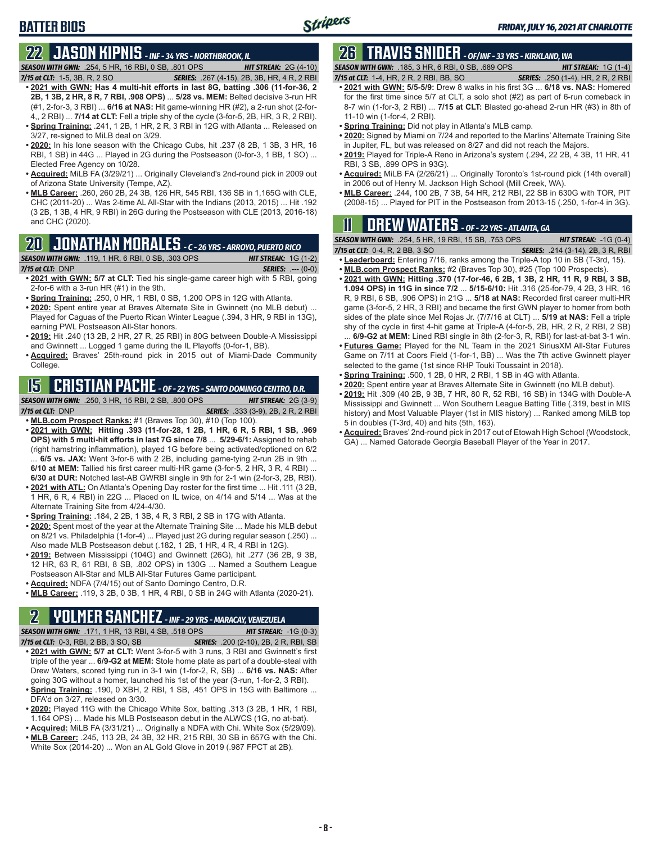# **22 JASON KIPNIS** *- INF - 34 YRS - NORTHBROOK, IL*

*SEASON WITH GWN:*.254, 5 HR, 16 RBI, 0 SB, .801 OPS *HIT STREAK:* 2G (4-10) *7/15 at CLT:*1-5, 3B, R, 2 SO *SERIES:* .267 (4-15), 2B, 3B, HR, 4 R, 2 RBI

- **• 2021 with GWN: Has 4 multi-hit efforts in last 8G, batting .306 (11-for-36, 2 2B, 1 3B, 2 HR, 8 R, 7 RBI, .908 OPS)** ... **5/28 vs. MEM:** Belted decisive 3-run HR (#1, 2-for-3, 3 RBI) ... **6/16 at NAS:** Hit game-winning HR (#2), a 2-run shot (2-for-4,, 2 RBI) ... **7/14 at CLT:** Fell a triple shy of the cycle (3-for-5, 2B, HR, 3 R, 2 RBI). **• Spring Training:** .241, 1 2B, 1 HR, 2 R, 3 RBI in 12G with Atlanta ... Released on
- 3/27, re-signed to MiLB deal on 3/29. **• 2020:** In his lone season with the Chicago Cubs, hit .237 (8 2B, 1 3B, 3 HR, 16 RBI, 1 SB) in 44G ... Played in 2G during the Postseason (0-for-3, 1 BB, 1 SO) ...
- Elected Free Agency on 10/28. **• Acquired:** MiLB FA (3/29/21) ... Originally Cleveland's 2nd-round pick in 2009 out
- of Arizona State University (Tempe, AZ). **• MLB Career:** .260, 260 2B, 24 3B, 126 HR, 545 RBI, 136 SB in 1,165G with CLE, CHC (2011-20) ... Was 2-time AL All-Star with the Indians (2013, 2015) ... Hit .192
- (3 2B, 1 3B, 4 HR, 9 RBI) in 26G during the Postseason with CLE (2013, 2016-18) and CHC (2020).

#### **20 JONATHAN MORALES** *- C - 26 YRS - ARROYO, PUERTO RICO*

*SEASON WITH GWN:*.119, 1 HR, 6 RBI, 0 SB, .303 OPS *HIT STREAK:* 1G (1-2)

**BATTER BIOS**

- *7/15 at CLT:*DNP *SERIES:* .--- (0-0) **• 2021 with GWN: 5/7 at CLT:** Tied his single-game career high with 5 RBI, going 2-for-6 with a 3-run HR (#1) in the 9th.
- **• Spring Training:** .250, 0 HR, 1 RBI, 0 SB, 1.200 OPS in 12G with Atlanta.
- **• 2020:** Spent entire year at Braves Alternate Site in Gwinnett (no MLB debut) ... Played for Caguas of the Puerto Rican Winter League (.394, 3 HR, 9 RBI in 13G), earning PWL Postseason All-Star honors.
- **• 2019:** Hit .240 (13 2B, 2 HR, 27 R, 25 RBI) in 80G between Double-A Mississippi and Gwinnett ... Logged 1 game during the IL Playoffs (0-for-1, BB).
- **• Acquired:** Braves' 25th-round pick in 2015 out of Miami-Dade Community College.

### **15 CRISTIAN PACHE** *- OF - 22 YRS - SANTO DOMINGO CENTRO, D.R.*

*SEASON WITH GWN:*.250, 3 HR, 15 RBI, 2 SB, .800 OPS *HIT STREAK:* 2G (3-9)

*7/15 at CLT:* DNP *SERIES:* .333 (3-9), 2B, 2 R, 2 RBI

**• MLB.com Prospect Ranks:** #1 (Braves Top 30), #10 (Top 100). **• 2021 with GWN: Hitting .393 (11-for-28, 1 2B, 1 HR, 6 R, 5 RBI, 1 SB, .969 OPS) with 5 multi-hit efforts in last 7G since 7/8** ... **5/29-6/1:** Assigned to rehab (right hamstring inflammation), played 1G before being activated/optioned on 6/2 ... **6/5 vs. JAX:** Went 3-for-6 with 2 2B, including game-tying 2-run 2B in 9th ... **6/10 at MEM:** Tallied his first career multi-HR game (3-for-5, 2 HR, 3 R, 4 RBI) ...

**6/30 at DUR:** Notched last-AB GWRBI single in 9th for 2-1 win (2-for-3, 2B, RBI).

- **• 2021 with ATL:** On Atlanta's Opening Day roster for the first time ... Hit .111 (3 2B, 1 HR, 6 R, 4 RBI) in 22G ... Placed on IL twice, on 4/14 and 5/14 ... Was at the Alternate Training Site from 4/24-4/30.
- **• Spring Training:** .184, 2 2B, 1 3B, 4 R, 3 RBI, 2 SB in 17G with Atlanta.
- **• 2020:** Spent most of the year at the Alternate Training Site ... Made his MLB debut on 8/21 vs. Philadelphia (1-for-4) ... Played just 2G during regular season (.250) ... Also made MLB Postseason debut (.182, 1 2B, 1 HR, 4 R, 4 RBI in 12G).
- **• 2019:** Between Mississippi (104G) and Gwinnett (26G), hit .277 (36 2B, 9 3B, 12 HR, 63 R, 61 RBI, 8 SB, .802 OPS) in 130G ... Named a Southern League Postseason All-Star and MLB All-Star Futures Game participant.
- **• Acquired:** NDFA (7/4/15) out of Santo Domingo Centro, D.R.
- **• MLB Career:** .119, 3 2B, 0 3B, 1 HR, 4 RBI, 0 SB in 24G with Atlanta (2020-21).

# **2 YOLMER SANCHEZ** *- INF - 29 YRS - MARACAY, VENEZUELA*

*SEASON WITH GWN:*.171, 1 HR, 13 RBI, 4 SB, .518 OPS *HIT STREAK:* -1G (0-3)

- *7/15 at CLT:*0-3, RBI, 2 BB, 3 SO, SB *SERIES:* .200 (2-10), 2B, 2 R, RBI, SB **• 2021 with GWN: 5/7 at CLT:** Went 3-for-5 with 3 runs, 3 RBI and Gwinnett's first triple of the year ... **6/9-G2 at MEM:** Stole home plate as part of a double-steal with Drew Waters, scored tying run in 3-1 win (1-for-2, R, SB) ... **6/16 vs. NAS:** After
- going 30G without a homer, launched his 1st of the year (3-run, 1-for-2, 3 RBI). **• Spring Training:** .190, 0 XBH, 2 RBI, 1 SB, .451 OPS in 15G with Baltimore ... DFA'd on 3/27, released on 3/30.
- **• 2020:** Played 11G with the Chicago White Sox, batting .313 (3 2B, 1 HR, 1 RBI, 1.164 OPS) ... Made his MLB Postseason debut in the ALWCS (1G, no at-bat).
- **• Acquired:** MiLB FA (3/31/21) ... Originally a NDFA with Chi. White Sox (5/29/09). **• MLB Career:** .245, 113 2B, 24 3B, 32 HR, 215 RBI, 30 SB in 657G with the Chi.
- White Sox (2014-20) ... Won an AL Gold Glove in 2019 (.987 FPCT at 2B).

# **26 TRAVIS SNIDER** *- OF/INF - 33 YRS - KIRKLAND, WA*

*SEASON WITH GWN:*.185, 3 HR, 6 RBI, 0 SB, .689 OPS *HIT STREAK:* 1G (1-4)

- *7/15 at CLT:* 1-4, HR, 2 R, 2 RBI, BB, SO *SERIES:* .250 (1-4), HR, 2 R, 2 RBI **• 2021 with GWN: 5/5-5/9:** Drew 8 walks in his first 3G ... **6/18 vs. NAS:** Homered for the first time since 5/7 at CLT, a solo shot (#2) as part of 6-run comeback in 8-7 win (1-for-3, 2 RBI) ... **7/15 at CLT:** Blasted go-ahead 2-run HR (#3) in 8th of 11-10 win (1-for-4, 2 RBI).
- **• Spring Training:** Did not play in Atlanta's MLB camp.
- **• 2020:** Signed by Miami on 7/24 and reported to the Marlins' Alternate Training Site in Jupiter, FL, but was released on 8/27 and did not reach the Majors.
- **• 2019:** Played for Triple-A Reno in Arizona's system (.294, 22 2B, 4 3B, 11 HR, 41 RBI, 3 SB, .899 OPS in 93G).
- **• Acquired:** MiLB FA (2/26/21) ... Originally Toronto's 1st-round pick (14th overall) in 2006 out of Henry M. Jackson High School (Mill Creek, WA).
- **• MLB Career:** .244, 100 2B, 7 3B, 54 HR, 212 RBI, 22 SB in 630G with TOR, PIT (2008-15) ... Played for PIT in the Postseason from 2013-15 (.250, 1-for-4 in 3G).

# **11 Drew WATERS** *- OF - 22 YRS - ATLANTA, GA*

*SEASON WITH GWN:*.254, 5 HR, 19 RBI, 15 SB, .753 OPS *HIT STREAK:* -1G (0-4) *7/15 at CLT:*0-4, R, 2 BB, 3 SO *SERIES:* .214 (3-14), 2B, 3 R, RBI

**• Leaderboard:** Entering 7/16, ranks among the Triple-A top 10 in SB (T-3rd, 15).

- **• MLB.com Prospect Ranks:** #2 (Braves Top 30), #25 (Top 100 Prospects). **• 2021 with GWN: Hitting .370 (17-for-46, 6 2B, 1 3B, 2 HR, 11 R, 9 RBI, 3 SB, 1.094 OPS) in 11G in since 7/2** ... **5/15-6/10:** Hit .316 (25-for-79, 4 2B, 3 HR, 16 R, 9 RBI, 6 SB, .906 OPS) in 21G ... **5/18 at NAS:** Recorded first career multi-HR game (3-for-5, 2 HR, 3 RBI) and became the first GWN player to homer from both sides of the plate since Mel Rojas Jr. (7/7/16 at CLT) ... **5/19 at NAS:** Fell a triple shy of the cycle in first 4-hit game at Triple-A (4-for-5, 2B, HR, 2 R, 2 RBI, 2 SB)
- 6/9-G2 at MEM: Lined RBI single in 8th (2-for-3, R, RBI) for last-at-bat 3-1 win. **• Futures Game:** Played for the NL Team in the 2021 SiriusXM All-Star Futures Game on 7/11 at Coors Field (1-for-1, BB) ... Was the 7th active Gwinnett player selected to the game (1st since RHP Touki Toussaint in 2018).
- **• Spring Training:** .500, 1 2B, 0 HR, 2 RBI, 1 SB in 4G with Atlanta.
- **• 2020:** Spent entire year at Braves Alternate Site in Gwinnett (no MLB debut).
- **• 2019:** Hit .309 (40 2B, 9 3B, 7 HR, 80 R, 52 RBI, 16 SB) in 134G with Double-A Mississippi and Gwinnett ... Won Southern League Batting Title (.319, best in MIS history) and Most Valuable Player (1st in MIS history) ... Ranked among MiLB top 5 in doubles (T-3rd, 40) and hits (5th, 163).
- **• Acquired:** Braves' 2nd-round pick in 2017 out of Etowah High School (Woodstock, GA) ... Named Gatorade Georgia Baseball Player of the Year in 2017.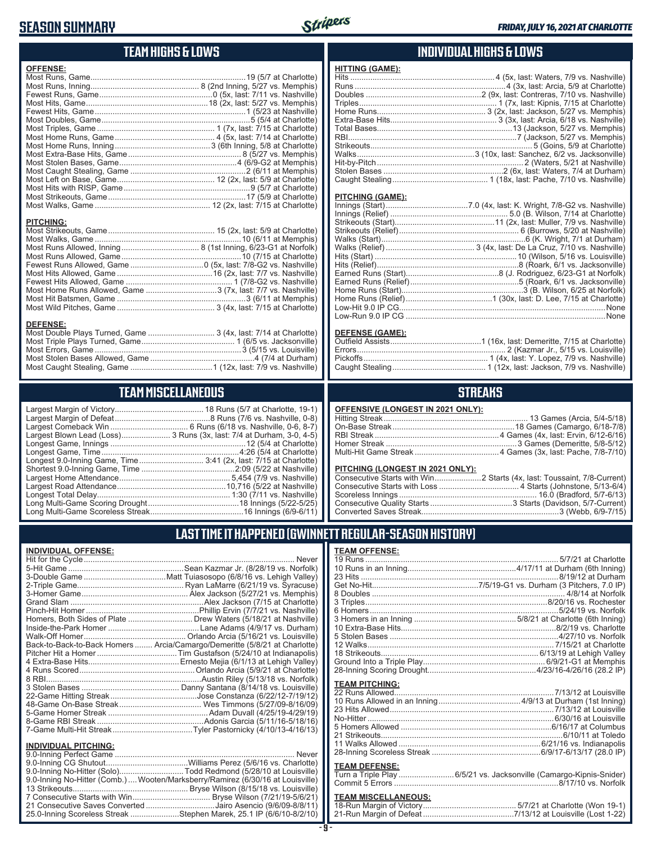#### **SEASON SUMMARY**

**DEFENSE:**

**INDIVIDUAL OFFENSE:**



#### **TEAM HIGHS & LOWS**

| <b>OFFENSE:</b>                                              |  |
|--------------------------------------------------------------|--|
|                                                              |  |
|                                                              |  |
|                                                              |  |
|                                                              |  |
|                                                              |  |
|                                                              |  |
|                                                              |  |
|                                                              |  |
|                                                              |  |
|                                                              |  |
|                                                              |  |
|                                                              |  |
|                                                              |  |
|                                                              |  |
|                                                              |  |
|                                                              |  |
| <b>PITCHING:</b>                                             |  |
|                                                              |  |
|                                                              |  |
|                                                              |  |
|                                                              |  |
|                                                              |  |
|                                                              |  |
|                                                              |  |
| Most Home Runs Allowed, Game 3 (7x, last: 7/7 vs. Nashville) |  |

Most Hit Batsmen, Game ..........................................................3 (6/11 at Memphis) Most Wild Pitches, Game ............................................ 3 (4x, last: 7/15 at Charlotte)

Most Double Plays Turned, Game .............................. 3 (4x, last: 7/14 at Charlotte) Most Triple Plays Turned, Game .......................................... 1 (6/5 vs. Jacksonville) Most Errors, Game ..................................................................3 (5/15 vs. Louisville) Most Stolen Bases Allowed, Game ...............................................4 (7/4 at Durham) Most Caught Stealing, Game .....................................1 (12x, last: 7/9 vs. Nashville)

**TEAM MISCELLANEOUS** Largest Margin of Victory........................................ 18 Runs (5/7 at Charlotte, 19-1) Largest Margin of Defeat ...........................................8 Runs (7/6 vs. Nashville, 0-8) Largest Comeback Win ................................... 6 Runs (6/18 vs. Nashville, 0-6, 8-7) Largest Blown Lead (Loss)...................... 3 Runs (3x, last: 7/4 at Durham, 3-0, 4-5) Longest Game, Innings .............................................................12 (5/4 at Charlotte) Longest Game, Time ..............................................................4:26 (5/4 at Charlotte) Longest 9.0-Inning Game, Time ............................. 3:41 (2x, last: 7/15 at Charlotte) Shortest 9.0-Inning Game, Time ..........................................2:09 (5/22 at Nashville) Largest Home Attendance .................................................. 5,454 (7/9 vs. Nashville) Largest Road Attendance .................................................10,716 (5/22 at Nashville) Longest Total Delay............................................................ 1:30 (7/11 vs. Nashville) Long Multi-Game Scoring Drought .........................................18 Innings (5/22-5/25) Long Multi-Game Scoreless Streak ..........................................16 Innings (6/9-6/11)

#### **INDIVIDUAL HIGHS & LOWS**

| <u>HITTING (GAME):</u>  |                                                                         |
|-------------------------|-------------------------------------------------------------------------|
|                         |                                                                         |
|                         |                                                                         |
|                         |                                                                         |
|                         |                                                                         |
|                         |                                                                         |
|                         |                                                                         |
|                         |                                                                         |
|                         |                                                                         |
|                         |                                                                         |
|                         |                                                                         |
|                         |                                                                         |
|                         |                                                                         |
|                         | Caught Stealing……………………………………… 1 (18x, last: Pache, 7/10 vs. Nashville) |
|                         |                                                                         |
| <b>PITCHING (GAME):</b> |                                                                         |
|                         |                                                                         |
|                         |                                                                         |
|                         |                                                                         |
|                         |                                                                         |
|                         |                                                                         |
|                         |                                                                         |

| Low-Run 9.0 IP CG …………………………………………………………………………………None |
|-------------------------------------------------------|
|                                                       |

#### **DEFENSE (GAME):**

#### **STREAKS**

| OFFENSIVE (LONGEST IN 2021 ONLY): |  |  |  |
|-----------------------------------|--|--|--|
|-----------------------------------|--|--|--|

#### **PITCHING (LONGEST IN 2021 ONLY):**

#### **LAST TIME IT HAPPENED (GWINNETT REGULAR-SEASON HISTORY)**

|                                                        | Homers, Both Sides of Plate  Drew Waters (5/18/21 at Nashville)            |
|--------------------------------------------------------|----------------------------------------------------------------------------|
|                                                        |                                                                            |
|                                                        |                                                                            |
|                                                        | Back-to-Back-to-Back Homers  Arcia/Camargo/Demeritte (5/8/21 at Charlotte) |
|                                                        |                                                                            |
|                                                        |                                                                            |
|                                                        |                                                                            |
|                                                        |                                                                            |
|                                                        |                                                                            |
|                                                        |                                                                            |
|                                                        |                                                                            |
|                                                        |                                                                            |
|                                                        |                                                                            |
|                                                        |                                                                            |
|                                                        |                                                                            |
| <b>INDIVIDUAL PITCHING:</b><br>0.0 Inning Dorfoot Camp | Nover                                                                      |

| 9.0-Inning No-Hitter (Solo)Todd Redmond (5/28/10 at Louisville)                 |  |
|---------------------------------------------------------------------------------|--|
| 9.0-Inning No-Hitter (Comb.)  Wooten/Marksberry/Ramirez (6/30/16 at Louisville) |  |
|                                                                                 |  |
|                                                                                 |  |
| 21 Consecutive Saves Converted Jairo Asencio (9/6/09-8/8/11)                    |  |
| 25.0-Inning Scoreless Streak Stephen Marek, 25.1 IP (6/6/10-8/2/10)             |  |
|                                                                                 |  |

| <b>TEAM OFFENSE:</b>  |  |
|-----------------------|--|
|                       |  |
|                       |  |
|                       |  |
|                       |  |
|                       |  |
|                       |  |
|                       |  |
|                       |  |
|                       |  |
|                       |  |
|                       |  |
|                       |  |
|                       |  |
|                       |  |
| <b>TEAM PITCHING:</b> |  |
|                       |  |
|                       |  |
|                       |  |
|                       |  |
|                       |  |
|                       |  |
|                       |  |
|                       |  |

#### **TEAM DEFENSE:**

| Turn a Triple Play 6/5/21 vs. Jacksonville (Camargo-Kipnis-Snider) |
|--------------------------------------------------------------------|
|                                                                    |

#### **TEAM MISCELLANEOUS:**

| 21-Run Margin of Defeat…………………………………7/13/12 at Louisville (Lost 1-22) |
|-----------------------------------------------------------------------|